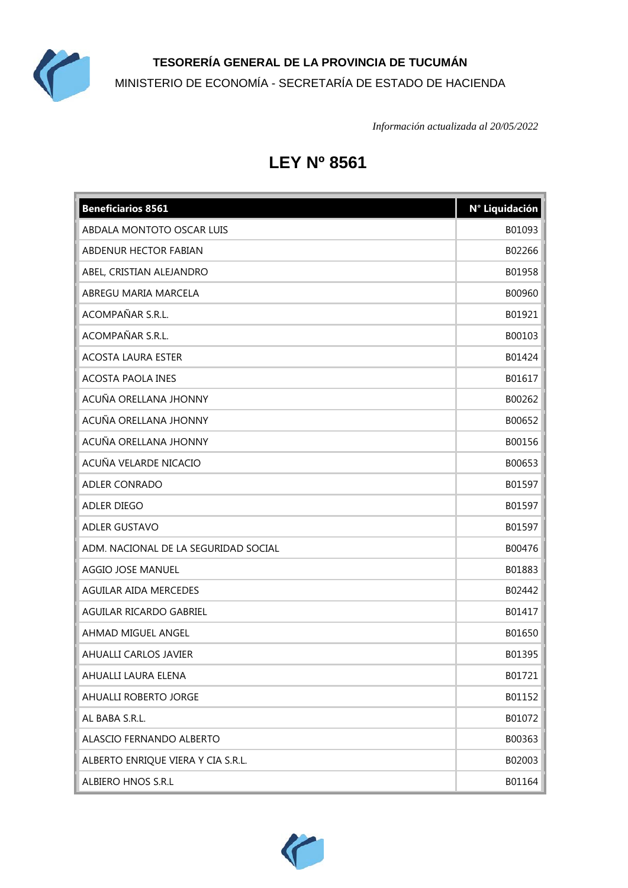

**TESORERÍA GENERAL DE LA PROVINCIA DE TUCUMÁN** MINISTERIO DE ECONOMÍA - SECRETARÍA DE ESTADO DE HACIENDA

*Información actualizada al 20/05/2022*

## **LEY Nº 8561**

| <b>Beneficiarios 8561</b>            | N° Liquidación |
|--------------------------------------|----------------|
| ABDALA MONTOTO OSCAR LUIS            | B01093         |
| ABDENUR HECTOR FABIAN                | B02266         |
| ABEL, CRISTIAN ALEJANDRO             | B01958         |
| ABREGU MARIA MARCELA                 | B00960         |
| ACOMPAÑAR S.R.L.                     | B01921         |
| ACOMPAÑAR S.R.L.                     | B00103         |
| <b>ACOSTA LAURA ESTER</b>            | B01424         |
| <b>ACOSTA PAOLA INES</b>             | B01617         |
| ACUÑA ORELLANA JHONNY                | B00262         |
| ACUÑA ORELLANA JHONNY                | B00652         |
| ACUÑA ORELLANA JHONNY                | B00156         |
| ACUÑA VELARDE NICACIO                | B00653         |
| ADLER CONRADO                        | B01597         |
| ADLER DIEGO                          | B01597         |
| <b>ADLER GUSTAVO</b>                 | B01597         |
| ADM. NACIONAL DE LA SEGURIDAD SOCIAL | B00476         |
| AGGIO JOSE MANUEL                    | B01883         |
| <b>AGUILAR AIDA MERCEDES</b>         | B02442         |
| AGUILAR RICARDO GABRIEL              | B01417         |
| AHMAD MIGUEL ANGEL                   | B01650         |
| <b>AHUALLI CARLOS JAVIER</b>         | B01395         |
| AHUALLI LAURA ELENA                  | B01721         |
| AHUALLI ROBERTO JORGE                | B01152         |
| AL BABA S.R.L.                       | B01072         |
| ALASCIO FERNANDO ALBERTO             | B00363         |
| ALBERTO ENRIQUE VIERA Y CIA S.R.L.   | B02003         |
| ALBIERO HNOS S.R.L                   | B01164         |

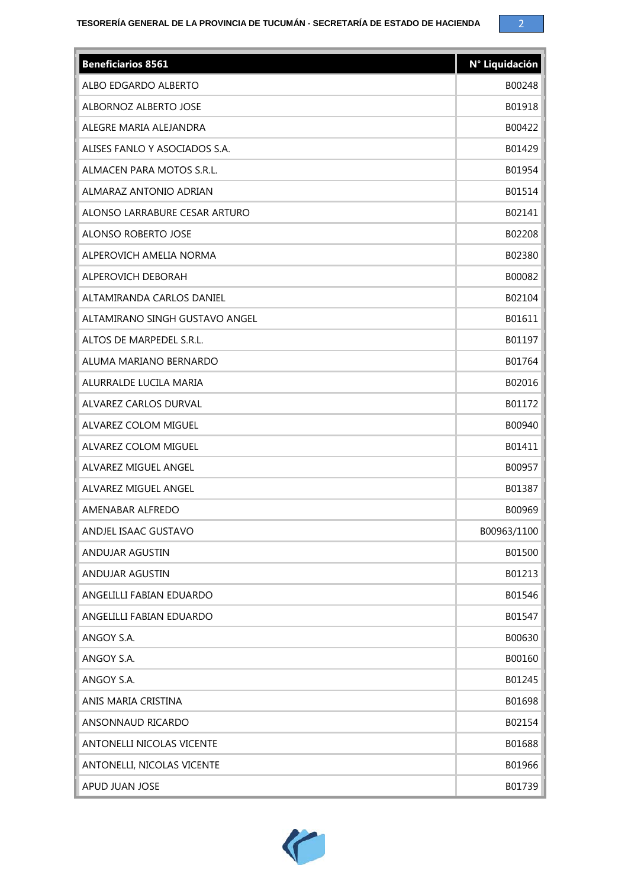

| <b>Beneficiarios 8561</b>      | N° Liquidación |
|--------------------------------|----------------|
| ALBO EDGARDO ALBERTO           | B00248         |
| ALBORNOZ ALBERTO JOSE          | B01918         |
| ALEGRE MARIA ALEJANDRA         | B00422         |
| ALISES FANLO Y ASOCIADOS S.A.  | B01429         |
| ALMACEN PARA MOTOS S.R.L.      | B01954         |
| ALMARAZ ANTONIO ADRIAN         | B01514         |
| ALONSO LARRABURE CESAR ARTURO  | B02141         |
| ALONSO ROBERTO JOSE            | B02208         |
| ALPEROVICH AMELIA NORMA        | B02380         |
| ALPEROVICH DEBORAH             | B00082         |
| ALTAMIRANDA CARLOS DANIEL      | B02104         |
| ALTAMIRANO SINGH GUSTAVO ANGEL | B01611         |
| ALTOS DE MARPEDEL S.R.L.       | B01197         |
| ALUMA MARIANO BERNARDO         | B01764         |
| ALURRALDE LUCILA MARIA         | B02016         |
| ALVAREZ CARLOS DURVAL          | B01172         |
| ALVAREZ COLOM MIGUEL           | B00940         |
| ALVAREZ COLOM MIGUEL           | B01411         |
| ALVAREZ MIGUEL ANGEL           | B00957         |
| ALVAREZ MIGUEL ANGEL           | B01387         |
| AMENABAR ALFREDO               | B00969         |
| ANDJEL ISAAC GUSTAVO           | B00963/1100    |
| ANDUJAR AGUSTIN                | B01500         |
| ANDUJAR AGUSTIN                | B01213         |
| ANGELILLI FABIAN EDUARDO       | B01546         |
| ANGELILLI FABIAN EDUARDO       | B01547         |
| ANGOY S.A.                     | B00630         |
| ANGOY S.A.                     | B00160         |
| ANGOY S.A.                     | B01245         |
| ANIS MARIA CRISTINA            | B01698         |
| ANSONNAUD RICARDO              | B02154         |
| ANTONELLI NICOLAS VICENTE      | B01688         |
| ANTONELLI, NICOLAS VICENTE     | B01966         |
| APUD JUAN JOSE                 | B01739         |

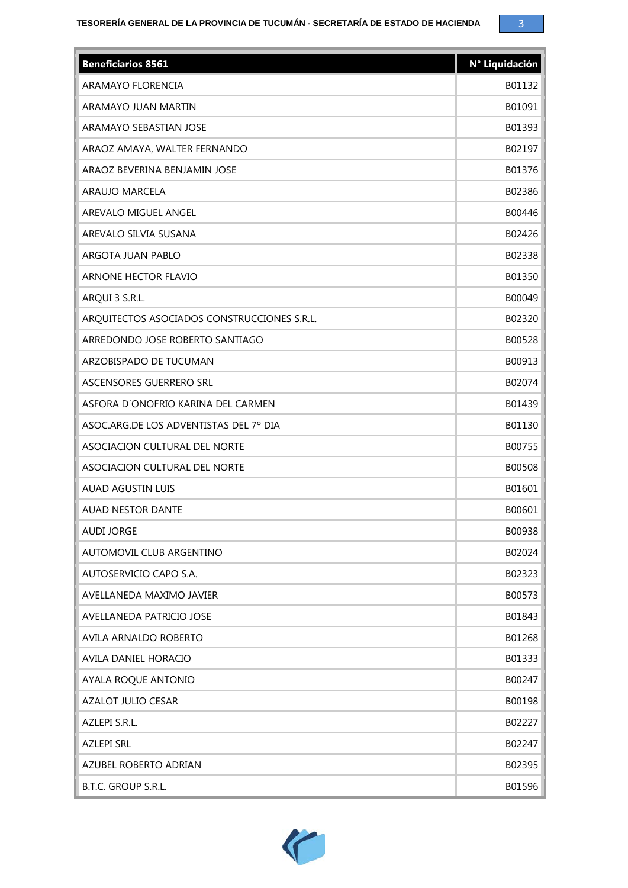

| <b>Beneficiarios 8561</b>                   | N° Liquidación |
|---------------------------------------------|----------------|
| <b>ARAMAYO FLORENCIA</b>                    | B01132         |
| ARAMAYO JUAN MARTIN                         | B01091         |
| ARAMAYO SEBASTIAN JOSE                      | B01393         |
| ARAOZ AMAYA, WALTER FERNANDO                | B02197         |
| ARAOZ BEVERINA BENJAMIN JOSE                | B01376         |
| <b>ARAUJO MARCELA</b>                       | B02386         |
| AREVALO MIGUEL ANGEL                        | B00446         |
| AREVALO SILVIA SUSANA                       | B02426         |
| ARGOTA JUAN PABLO                           | B02338         |
| ARNONE HECTOR FLAVIO                        | B01350         |
| ARQUI 3 S.R.L.                              | B00049         |
| ARQUITECTOS ASOCIADOS CONSTRUCCIONES S.R.L. | B02320         |
| ARREDONDO JOSE ROBERTO SANTIAGO             | B00528         |
| ARZOBISPADO DE TUCUMAN                      | B00913         |
| ASCENSORES GUERRERO SRL                     | B02074         |
| ASFORA D'ONOFRIO KARINA DEL CARMEN          | B01439         |
| ASOC.ARG.DE LOS ADVENTISTAS DEL 7º DIA      | B01130         |
| ASOCIACION CULTURAL DEL NORTE               | B00755         |
| ASOCIACION CULTURAL DEL NORTE               | B00508         |
| <b>AUAD AGUSTIN LUIS</b>                    | B01601         |
| <b>AUAD NESTOR DANTE</b>                    | B00601         |
| <b>AUDI JORGE</b>                           | B00938         |
| AUTOMOVIL CLUB ARGENTINO                    | B02024         |
| AUTOSERVICIO CAPO S.A.                      | B02323         |
| AVELLANEDA MAXIMO JAVIER                    | B00573         |
| AVELLANEDA PATRICIO JOSE                    | B01843         |
| AVILA ARNALDO ROBERTO                       | B01268         |
| AVILA DANIEL HORACIO                        | B01333         |
| AYALA ROQUE ANTONIO                         | B00247         |
| AZALOT JULIO CESAR                          | B00198         |
| AZLEPI S.R.L.                               | B02227         |
| <b>AZLEPI SRL</b>                           | B02247         |
| AZUBEL ROBERTO ADRIAN                       | B02395         |
| B.T.C. GROUP S.R.L.                         | B01596         |

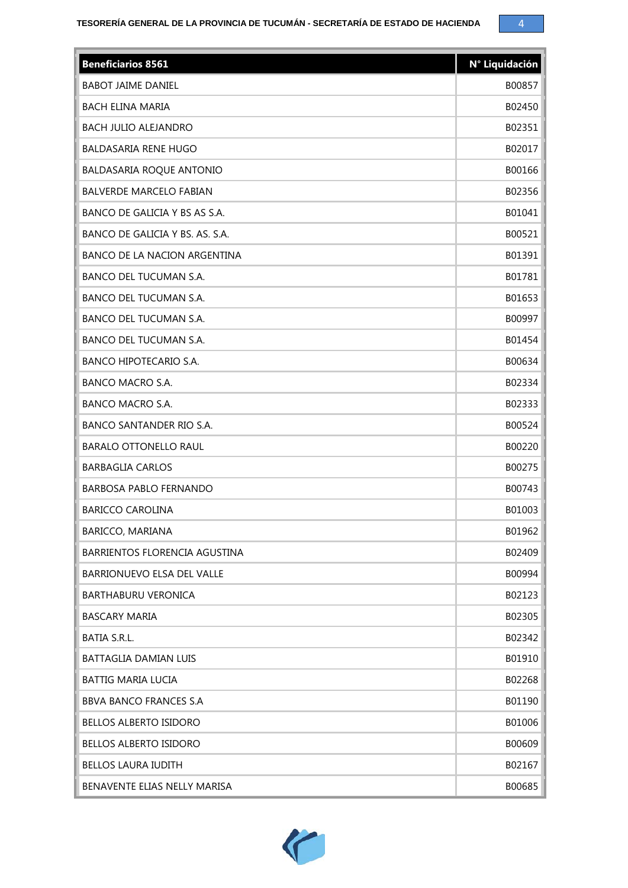

| <b>Beneficiarios 8561</b>           | N° Liquidación |
|-------------------------------------|----------------|
| <b>BABOT JAIME DANIEL</b>           | B00857         |
| <b>BACH ELINA MARIA</b>             | B02450         |
| <b>BACH JULIO ALEJANDRO</b>         | B02351         |
| <b>BALDASARIA RENE HUGO</b>         | B02017         |
| BALDASARIA ROQUE ANTONIO            | B00166         |
| <b>BALVERDE MARCELO FABIAN</b>      | B02356         |
| BANCO DE GALICIA Y BS AS S.A.       | B01041         |
| BANCO DE GALICIA Y BS. AS. S.A.     | B00521         |
| <b>BANCO DE LA NACION ARGENTINA</b> | B01391         |
| <b>BANCO DEL TUCUMAN S.A.</b>       | B01781         |
| <b>BANCO DEL TUCUMAN S.A.</b>       | B01653         |
| BANCO DEL TUCUMAN S.A.              | B00997         |
| <b>BANCO DEL TUCUMAN S.A.</b>       | B01454         |
| <b>BANCO HIPOTECARIO S.A.</b>       | B00634         |
| <b>BANCO MACRO S.A.</b>             | B02334         |
| <b>BANCO MACRO S.A.</b>             | B02333         |
| BANCO SANTANDER RIO S.A.            | B00524         |
| <b>BARALO OTTONELLO RAUL</b>        | B00220         |
| <b>BARBAGLIA CARLOS</b>             | B00275         |
| <b>BARBOSA PABLO FERNANDO</b>       | B00743         |
| <b>BARICCO CAROLINA</b>             | B01003         |
| BARICCO, MARIANA                    | B01962         |
| BARRIENTOS FLORENCIA AGUSTINA       | B02409         |
| <b>BARRIONUEVO ELSA DEL VALLE</b>   | B00994         |
| <b>BARTHABURU VERONICA</b>          | B02123         |
| <b>BASCARY MARIA</b>                | B02305         |
| BATIA S.R.L.                        | B02342         |
| <b>BATTAGLIA DAMIAN LUIS</b>        | B01910         |
| <b>BATTIG MARIA LUCIA</b>           | B02268         |
| <b>BBVA BANCO FRANCES S.A</b>       | B01190         |
| <b>BELLOS ALBERTO ISIDORO</b>       | B01006         |
| <b>BELLOS ALBERTO ISIDORO</b>       | B00609         |
| <b>BELLOS LAURA IUDITH</b>          | B02167         |
| BENAVENTE ELIAS NELLY MARISA        | B00685         |

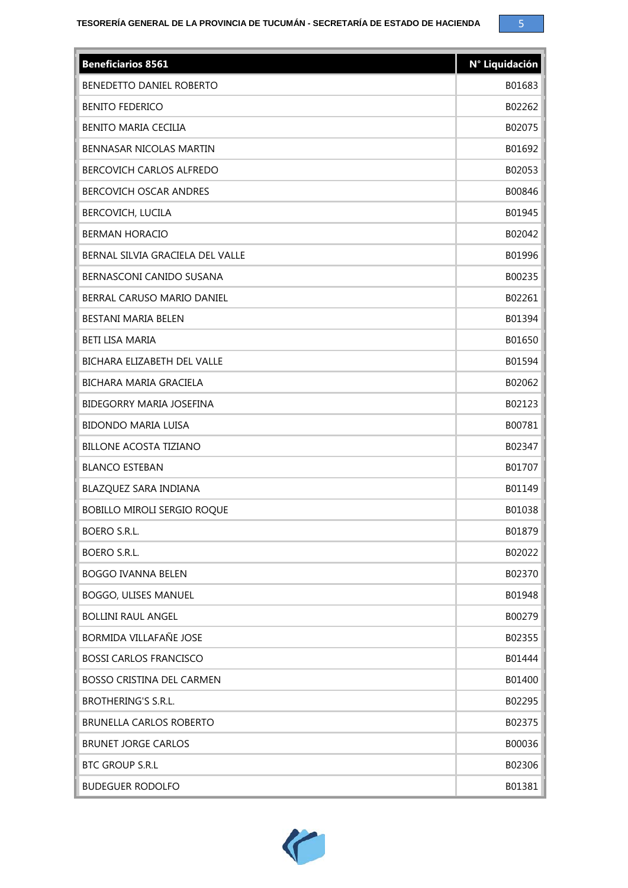

| <b>Beneficiarios 8561</b>          | N° Liquidación |
|------------------------------------|----------------|
| BENEDETTO DANIEL ROBERTO           | B01683         |
| <b>BENITO FEDERICO</b>             | B02262         |
| <b>BENITO MARIA CECILIA</b>        | B02075         |
| BENNASAR NICOLAS MARTIN            | B01692         |
| BERCOVICH CARLOS ALFREDO           | B02053         |
| <b>BERCOVICH OSCAR ANDRES</b>      | B00846         |
| <b>BERCOVICH, LUCILA</b>           | B01945         |
| <b>BERMAN HORACIO</b>              | B02042         |
| BERNAL SILVIA GRACIELA DEL VALLE   | B01996         |
| BERNASCONI CANIDO SUSANA           | B00235         |
| BERRAL CARUSO MARIO DANIEL         | B02261         |
| BESTANI MARIA BELEN                | B01394         |
| <b>BETI LISA MARIA</b>             | B01650         |
| BICHARA ELIZABETH DEL VALLE        | B01594         |
| BICHARA MARIA GRACIELA             | B02062         |
| <b>BIDEGORRY MARIA JOSEFINA</b>    | B02123         |
| <b>BIDONDO MARIA LUISA</b>         | B00781         |
| <b>BILLONE ACOSTA TIZIANO</b>      | B02347         |
| <b>BLANCO ESTEBAN</b>              | B01707         |
| BLAZQUEZ SARA INDIANA              | B01149         |
| <b>BOBILLO MIROLI SERGIO ROQUE</b> | B01038         |
| BOERO S.R.L.                       | B01879         |
| BOERO S.R.L.                       | B02022         |
| <b>BOGGO IVANNA BELEN</b>          | B02370         |
| BOGGO, ULISES MANUEL               | B01948         |
| <b>BOLLINI RAUL ANGEL</b>          | B00279         |
| BORMIDA VILLAFAÑE JOSE             | B02355         |
| <b>BOSSI CARLOS FRANCISCO</b>      | B01444         |
| <b>BOSSO CRISTINA DEL CARMEN</b>   | B01400         |
| <b>BROTHERING'S S.R.L.</b>         | B02295         |
| <b>BRUNELLA CARLOS ROBERTO</b>     | B02375         |
| <b>BRUNET JORGE CARLOS</b>         | B00036         |
| <b>BTC GROUP S.R.L</b>             | B02306         |
| <b>BUDEGUER RODOLFO</b>            | B01381         |

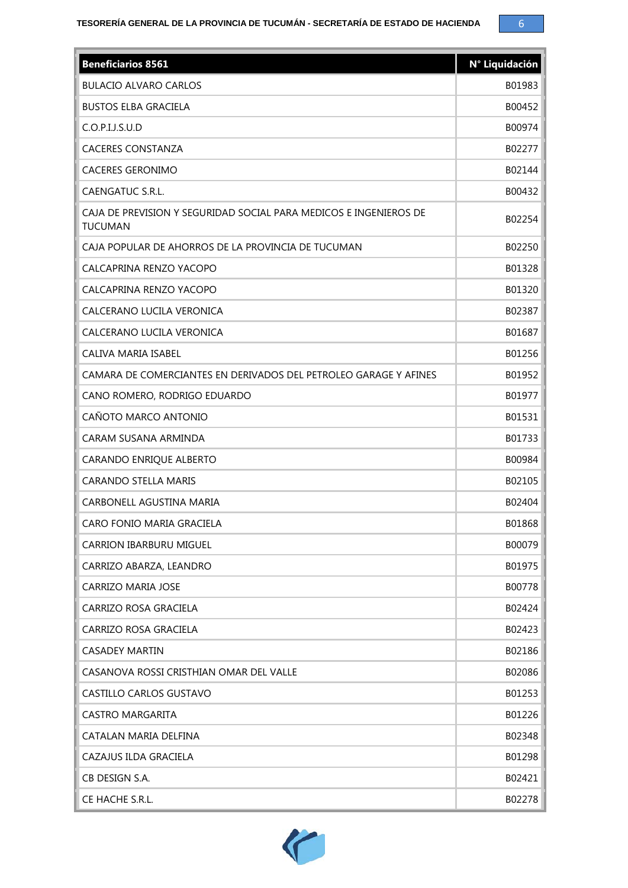

| <b>Beneficiarios 8561</b>                                                           | N° Liquidación |
|-------------------------------------------------------------------------------------|----------------|
| <b>BULACIO ALVARO CARLOS</b>                                                        | B01983         |
| <b>BUSTOS ELBA GRACIELA</b>                                                         | B00452         |
| C.O.P.I.J.S.U.D                                                                     | B00974         |
| <b>CACERES CONSTANZA</b>                                                            | B02277         |
| <b>CACERES GERONIMO</b>                                                             | B02144         |
| CAENGATUC S.R.L.                                                                    | B00432         |
| CAJA DE PREVISIÓN Y SEGURIDAD SOCIAL PARA MEDICOS E INGENIEROS DE<br><b>TUCUMAN</b> | B02254         |
| CAJA POPULAR DE AHORROS DE LA PROVINCIA DE TUCUMAN                                  | B02250         |
| CALCAPRINA RENZO YACOPO                                                             | B01328         |
| CALCAPRINA RENZO YACOPO                                                             | B01320         |
| CALCERANO LUCILA VERONICA                                                           | B02387         |
| CALCERANO LUCILA VERONICA                                                           | B01687         |
| CALIVA MARIA ISABEL                                                                 | B01256         |
| CAMARA DE COMERCIANTES EN DERIVADOS DEL PETROLEO GARAGE Y AFINES                    | B01952         |
| CANO ROMERO, RODRIGO EDUARDO                                                        | B01977         |
| CAÑOTO MARCO ANTONIO                                                                | B01531         |
| CARAM SUSANA ARMINDA                                                                | B01733         |
| CARANDO ENRIQUE ALBERTO                                                             | B00984         |
| <b>CARANDO STELLA MARIS</b>                                                         | B02105         |
| CARBONELL AGUSTINA MARIA                                                            | B02404         |
| CARO FONIO MARIA GRACIELA                                                           | B01868         |
| <b>CARRION IBARBURU MIGUEL</b>                                                      | B00079         |
| CARRIZO ABARZA, LEANDRO                                                             | B01975         |
| CARRIZO MARIA JOSE                                                                  | B00778         |
| CARRIZO ROSA GRACIELA                                                               | B02424         |
| CARRIZO ROSA GRACIELA                                                               | B02423         |
| <b>CASADEY MARTIN</b>                                                               | B02186         |
| CASANOVA ROSSI CRISTHIAN OMAR DEL VALLE                                             | B02086         |
| CASTILLO CARLOS GUSTAVO                                                             | B01253         |
| <b>CASTRO MARGARITA</b>                                                             | B01226         |
| CATALAN MARIA DELFINA                                                               | B02348         |
| CAZAJUS ILDA GRACIELA                                                               | B01298         |
| CB DESIGN S.A.                                                                      | B02421         |
| CE HACHE S.R.L.                                                                     | B02278         |

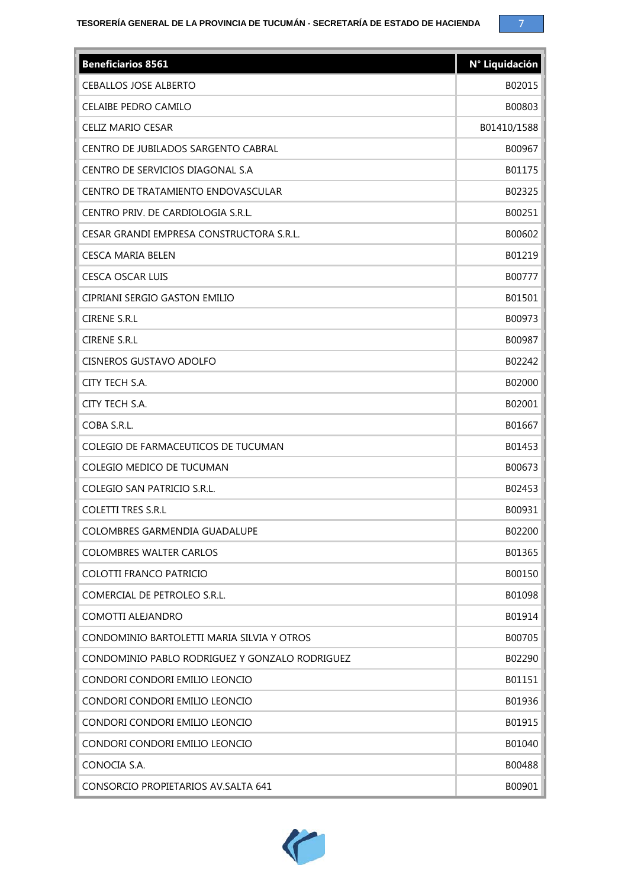

| <b>Beneficiarios 8561</b>                      | N° Liquidación |
|------------------------------------------------|----------------|
| <b>CEBALLOS JOSE ALBERTO</b>                   | B02015         |
| CELAIBE PEDRO CAMILO                           | B00803         |
| <b>CELIZ MARIO CESAR</b>                       | B01410/1588    |
| CENTRO DE JUBILADOS SARGENTO CABRAL            | B00967         |
| CENTRO DE SERVICIOS DIAGONAL S.A               | B01175         |
| CENTRO DE TRATAMIENTO ENDOVASCULAR             | B02325         |
| CENTRO PRIV. DE CARDIOLOGIA S.R.L.             | B00251         |
| CESAR GRANDI EMPRESA CONSTRUCTORA S.R.L.       | B00602         |
| CESCA MARIA BELEN                              | B01219         |
| <b>CESCA OSCAR LUIS</b>                        | B00777         |
| CIPRIANI SERGIO GASTON EMILIO                  | B01501         |
| CIRENE S.R.L                                   | B00973         |
| CIRENE S.R.L                                   | B00987         |
| <b>CISNEROS GUSTAVO ADOLFO</b>                 | B02242         |
| CITY TECH S.A.                                 | B02000         |
| CITY TECH S.A.                                 | B02001         |
| COBA S.R.L.                                    | B01667         |
| COLEGIO DE FARMACEUTICOS DE TUCUMAN            | B01453         |
| COLEGIO MEDICO DE TUCUMAN                      | B00673         |
| COLEGIO SAN PATRICIO S.R.L.                    | B02453         |
| <b>COLETTI TRES S.R.L</b>                      | B00931         |
| COLOMBRES GARMENDIA GUADALUPE                  | B02200         |
| <b>COLOMBRES WALTER CARLOS</b>                 | B01365         |
| COLOTTI FRANCO PATRICIO                        | B00150         |
| COMERCIAL DE PETROLEO S.R.L.                   | B01098         |
| COMOTTI ALEJANDRO                              | B01914         |
| CONDOMINIO BARTOLETTI MARIA SILVIA Y OTROS     | B00705         |
| CONDOMINIO PABLO RODRIGUEZ Y GONZALO RODRIGUEZ | B02290         |
| CONDORI CONDORI EMILIO LEONCIO                 | B01151         |
| CONDORI CONDORI EMILIO LEONCIO                 | B01936         |
| CONDORI CONDORI EMILIO LEONCIO                 | B01915         |
| CONDORI CONDORI EMILIO LEONCIO                 | B01040         |
| CONOCIA S.A.                                   | B00488         |
| CONSORCIO PROPIETARIOS AV. SALTA 641           | B00901         |

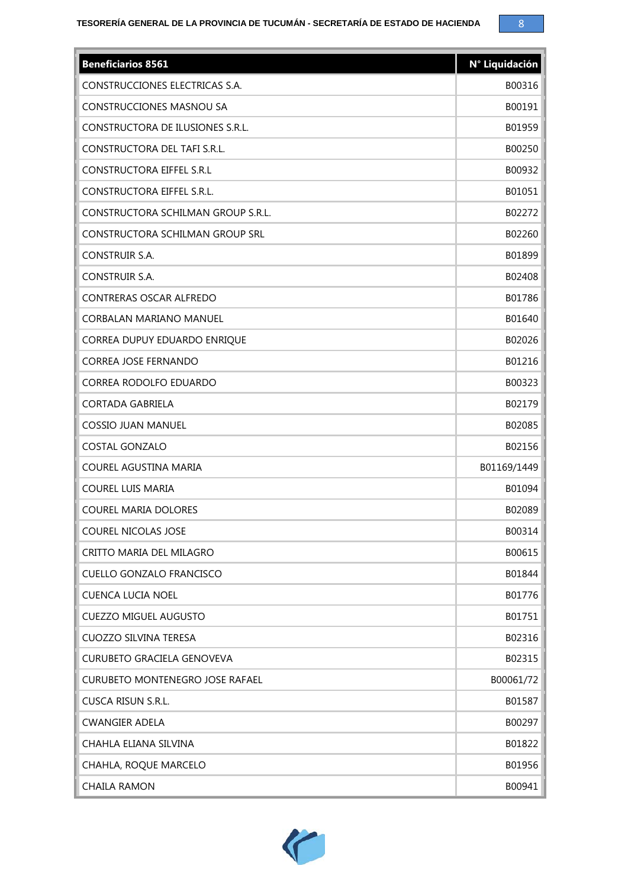| <b>Beneficiarios 8561</b>              | N° Liquidación |
|----------------------------------------|----------------|
| CONSTRUCCIONES ELECTRICAS S.A.         | B00316         |
| <b>CONSTRUCCIONES MASNOU SA</b>        | B00191         |
| CONSTRUCTORA DE ILUSIONES S.R.L.       | B01959         |
| CONSTRUCTORA DEL TAFI S.R.L.           | B00250         |
| CONSTRUCTORA EIFFEL S.R.L              | B00932         |
| CONSTRUCTORA EIFFEL S.R.L.             | B01051         |
| CONSTRUCTORA SCHILMAN GROUP S.R.L.     | B02272         |
| CONSTRUCTORA SCHILMAN GROUP SRL        | B02260         |
| <b>CONSTRUIR S.A.</b>                  | B01899         |
| CONSTRUIR S.A.                         | B02408         |
| CONTRERAS OSCAR ALFREDO                | B01786         |
| <b>CORBALAN MARIANO MANUEL</b>         | B01640         |
| CORREA DUPUY EDUARDO ENRIQUE           | B02026         |
| <b>CORREA JOSE FERNANDO</b>            | B01216         |
| CORREA RODOLFO EDUARDO                 | B00323         |
| <b>CORTADA GABRIELA</b>                | B02179         |
| <b>COSSIO JUAN MANUEL</b>              | B02085         |
| <b>COSTAL GONZALO</b>                  | B02156         |
| COUREL AGUSTINA MARIA                  | B01169/1449    |
| <b>COUREL LUIS MARIA</b>               | B01094         |
| <b>COUREL MARIA DOLORES</b>            | B02089         |
| <b>COUREL NICOLAS JOSE</b>             | B00314         |
| CRITTO MARIA DEL MILAGRO               | B00615         |
| <b>CUELLO GONZALO FRANCISCO</b>        | B01844         |
| CUENCA LUCIA NOEL                      | B01776         |
| <b>CUEZZO MIGUEL AUGUSTO</b>           | B01751         |
| CUOZZO SILVINA TERESA                  | B02316         |
| <b>CURUBETO GRACIELA GENOVEVA</b>      | B02315         |
| <b>CURUBETO MONTENEGRO JOSE RAFAEL</b> | B00061/72      |
| <b>CUSCA RISUN S.R.L.</b>              | B01587         |
| <b>CWANGIER ADELA</b>                  | B00297         |
| CHAHLA ELIANA SILVINA                  | B01822         |
| CHAHLA, ROQUE MARCELO                  | B01956         |
| <b>CHAILA RAMON</b>                    | B00941         |

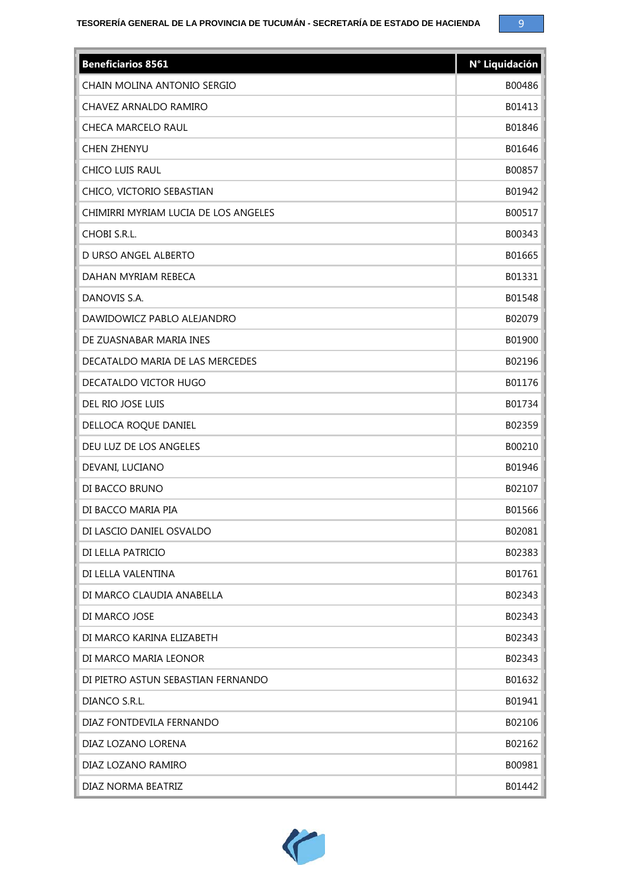| <b>Beneficiarios 8561</b>            | N° Liquidación |
|--------------------------------------|----------------|
| CHAIN MOLINA ANTONIO SERGIO          | B00486         |
| CHAVEZ ARNALDO RAMIRO                | B01413         |
| CHECA MARCELO RAUL                   | B01846         |
| CHEN ZHENYU                          | B01646         |
| CHICO LUIS RAUL                      | B00857         |
| CHICO, VICTORIO SEBASTIAN            | B01942         |
| CHIMIRRI MYRIAM LUCIA DE LOS ANGELES | B00517         |
| CHOBI S.R.L.                         | B00343         |
| D URSO ANGEL ALBERTO                 | B01665         |
| DAHAN MYRIAM REBECA                  | B01331         |
| DANOVIS S.A.                         | B01548         |
| DAWIDOWICZ PABLO ALEJANDRO           | B02079         |
| DE ZUASNABAR MARIA INES              | B01900         |
| DECATALDO MARIA DE LAS MERCEDES      | B02196         |
| DECATALDO VICTOR HUGO                | B01176         |
| DEL RIO JOSE LUIS                    | B01734         |
| DELLOCA ROQUE DANIEL                 | B02359         |
| DEU LUZ DE LOS ANGELES               | B00210         |
| DEVANI, LUCIANO                      | B01946         |
| DI BACCO BRUNO                       | B02107         |
| DI BACCO MARIA PIA                   | B01566         |
| DI LASCIO DANIEL OSVALDO             | B02081         |
| DI LELLA PATRICIO                    | B02383         |
| DI LELLA VALENTINA                   | B01761         |
| DI MARCO CLAUDIA ANABELLA            | B02343         |
| DI MARCO JOSE                        | B02343         |
| DI MARCO KARINA ELIZABETH            | B02343         |
| DI MARCO MARIA LEONOR                | B02343         |
| DI PIETRO ASTUN SEBASTIAN FERNANDO   | B01632         |
| DIANCO S.R.L.                        | B01941         |
| DIAZ FONTDEVILA FERNANDO             | B02106         |
| DIAZ LOZANO LORENA                   | B02162         |
| DIAZ LOZANO RAMIRO                   | B00981         |
| DIAZ NORMA BEATRIZ                   | B01442         |

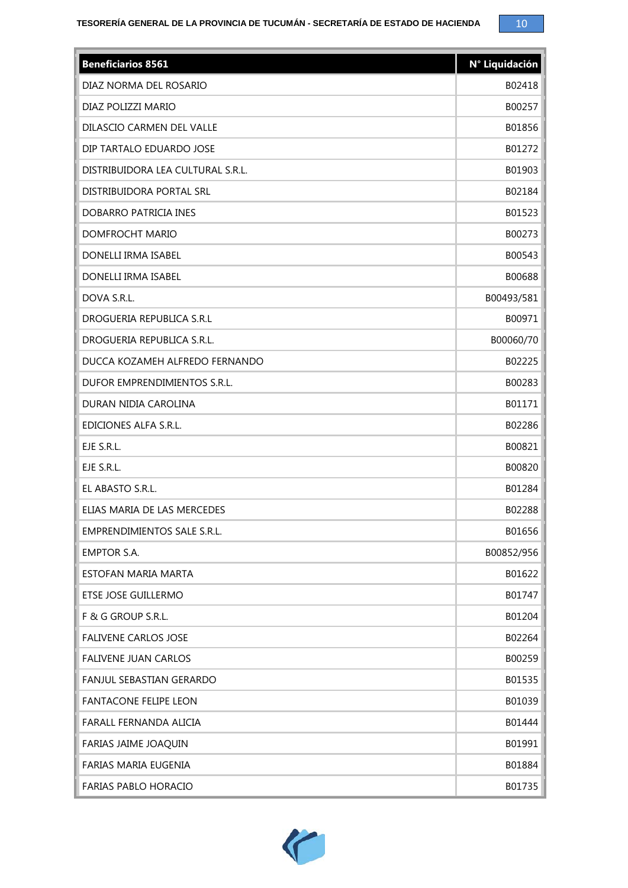| <b>Beneficiarios 8561</b>         | N° Liquidación |
|-----------------------------------|----------------|
| DIAZ NORMA DEL ROSARIO            | B02418         |
| DIAZ POLIZZI MARIO                | B00257         |
| DILASCIO CARMEN DEL VALLE         | B01856         |
| DIP TARTALO EDUARDO JOSE          | B01272         |
| DISTRIBUIDORA LEA CULTURAL S.R.L. | B01903         |
| DISTRIBUIDORA PORTAL SRL          | B02184         |
| DOBARRO PATRICIA INES             | B01523         |
| DOMFROCHT MARIO                   | B00273         |
| DONELLI IRMA ISABEL               | B00543         |
| DONELLI IRMA ISABEL               | B00688         |
| DOVA S.R.L.                       | B00493/581     |
| DROGUERIA REPUBLICA S.R.L         | B00971         |
| DROGUERIA REPUBLICA S.R.L.        | B00060/70      |
| DUCCA KOZAMEH ALFREDO FERNANDO    | B02225         |
| DUFOR EMPRENDIMIENTOS S.R.L.      | B00283         |
| DURAN NIDIA CAROLINA              | B01171         |
| EDICIONES ALFA S.R.L.             | B02286         |
| EJE S.R.L.                        | B00821         |
| EJE S.R.L.                        | B00820         |
| EL ABASTO S.R.L.                  | B01284         |
| ELIAS MARIA DE LAS MERCEDES       | B02288         |
| EMPRENDIMIENTOS SALE S.R.L.       | B01656         |
| <b>EMPTOR S.A.</b>                | B00852/956     |
| ESTOFAN MARIA MARTA               | B01622         |
| ETSE JOSE GUILLERMO               | B01747         |
| F & G GROUP S.R.L.                | B01204         |
| <b>FALIVENE CARLOS JOSE</b>       | B02264         |
| <b>FALIVENE JUAN CARLOS</b>       | B00259         |
| FANJUL SEBASTIAN GERARDO          | B01535         |
| <b>FANTACONE FELIPE LEON</b>      | B01039         |
| FARALL FERNANDA ALICIA            | B01444         |
| FARIAS JAIME JOAQUIN              | B01991         |
| <b>FARIAS MARIA EUGENIA</b>       | B01884         |
| FARIAS PABLO HORACIO              | B01735         |

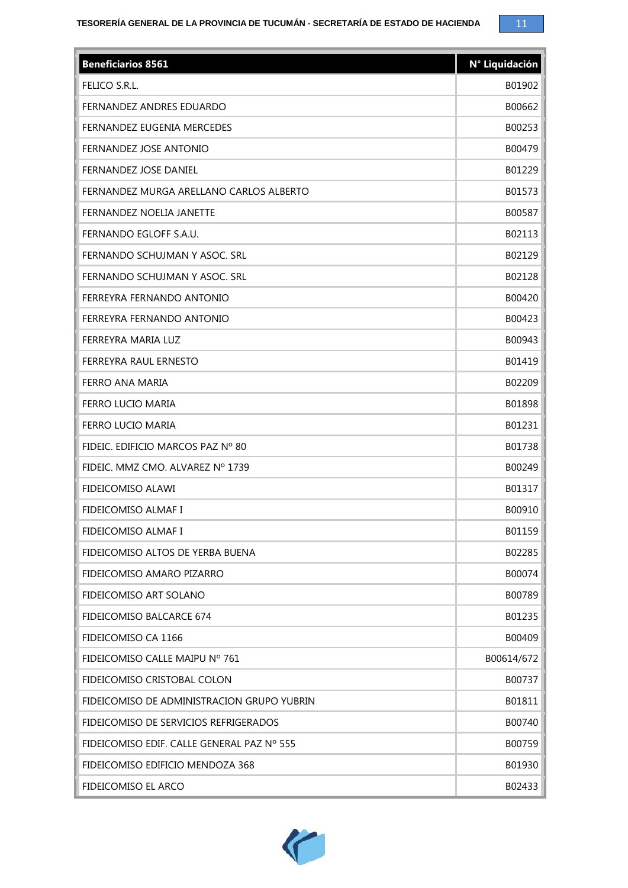| <b>Beneficiarios 8561</b>                  | N° Liquidación |
|--------------------------------------------|----------------|
| FELICO S.R.L.                              | B01902         |
| FERNANDEZ ANDRES EDUARDO                   | B00662         |
| FERNANDEZ EUGENIA MERCEDES                 | B00253         |
| FERNANDEZ JOSE ANTONIO                     | B00479         |
| FERNANDEZ JOSE DANIEL                      | B01229         |
| FERNANDEZ MURGA ARELLANO CARLOS ALBERTO    | B01573         |
| FERNANDEZ NOELIA JANETTE                   | B00587         |
| FERNANDO EGLOFF S.A.U.                     | B02113         |
| FERNANDO SCHUJMAN Y ASOC. SRL              | B02129         |
| FERNANDO SCHUJMAN Y ASOC. SRL              | B02128         |
| FERREYRA FERNANDO ANTONIO                  | B00420         |
| FERREYRA FERNANDO ANTONIO                  | B00423         |
| FERREYRA MARIA LUZ                         | B00943         |
| FERREYRA RAUL ERNESTO                      | B01419         |
| FERRO ANA MARIA                            | B02209         |
| FERRO LUCIO MARIA                          | B01898         |
| FERRO LUCIO MARIA                          | B01231         |
| FIDEIC. EDIFICIO MARCOS PAZ Nº 80          | B01738         |
| FIDEIC. MMZ CMO. ALVAREZ Nº 1739           | B00249         |
| FIDEICOMISO ALAWI                          | B01317         |
| FIDEICOMISO ALMAF I                        | B00910         |
| FIDEICOMISO ALMAF I                        | B01159         |
| FIDEICOMISO ALTOS DE YERBA BUENA           | B02285         |
| FIDEICOMISO AMARO PIZARRO                  | B00074         |
| FIDEICOMISO ART SOLANO                     | B00789         |
| FIDEICOMISO BALCARCE 674                   | B01235         |
| FIDEICOMISO CA 1166                        | B00409         |
| FIDEICOMISO CALLE MAIPU Nº 761             | B00614/672     |
| FIDEICOMISO CRISTOBAL COLON                | B00737         |
| FIDEICOMISO DE ADMINISTRACION GRUPO YUBRIN | B01811         |
| FIDEICOMISO DE SERVICIOS REFRIGERADOS      | B00740         |
| FIDEICOMISO EDIF. CALLE GENERAL PAZ Nº 555 | B00759         |
| FIDEICOMISO EDIFICIO MENDOZA 368           | B01930         |
| FIDEICOMISO EL ARCO                        | B02433         |

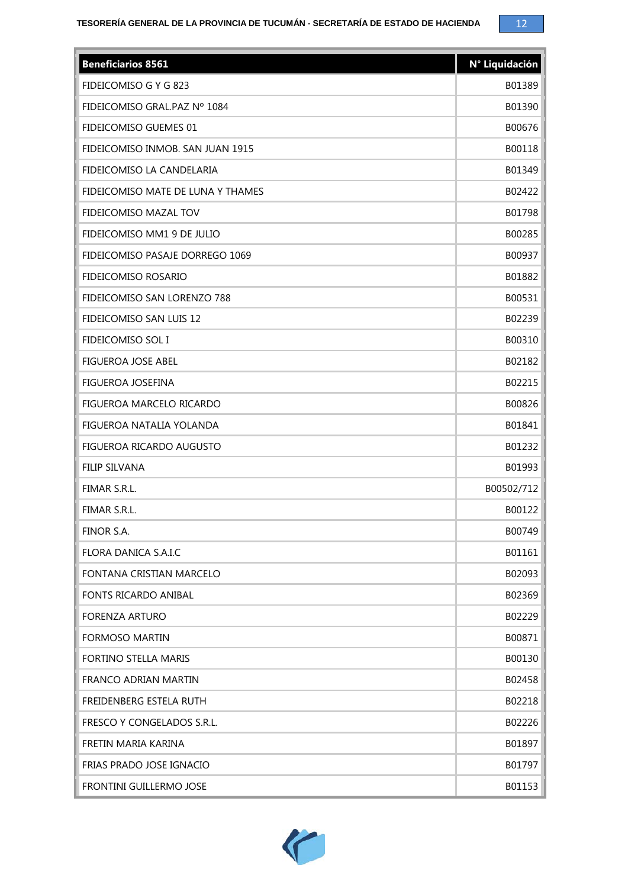| <b>Beneficiarios 8561</b>         | N° Liquidación |
|-----------------------------------|----------------|
| FIDEICOMISO G Y G 823             | B01389         |
| FIDEICOMISO GRAL.PAZ Nº 1084      | B01390         |
| FIDEICOMISO GUEMES 01             | B00676         |
| FIDEICOMISO INMOB. SAN JUAN 1915  | B00118         |
| FIDEICOMISO LA CANDELARIA         | B01349         |
| FIDEICOMISO MATE DE LUNA Y THAMES | B02422         |
| FIDEICOMISO MAZAL TOV             | B01798         |
| FIDEICOMISO MM1 9 DE JULIO        | B00285         |
| FIDEICOMISO PASAJE DORREGO 1069   | B00937         |
| <b>FIDEICOMISO ROSARIO</b>        | B01882         |
| FIDEICOMISO SAN LORENZO 788       | B00531         |
| FIDEICOMISO SAN LUIS 12           | B02239         |
| FIDEICOMISO SOL I                 | B00310         |
| <b>FIGUEROA JOSE ABEL</b>         | B02182         |
| FIGUEROA JOSEFINA                 | B02215         |
| FIGUEROA MARCELO RICARDO          | B00826         |
| FIGUEROA NATALIA YOLANDA          | B01841         |
| FIGUEROA RICARDO AUGUSTO          | B01232         |
| <b>FILIP SILVANA</b>              | B01993         |
| FIMAR S.R.L.                      | B00502/712     |
| FIMAR S.R.L.                      | B00122         |
| FINOR S.A.                        | B00749         |
| FLORA DANICA S.A.I.C              | B01161         |
| FONTANA CRISTIAN MARCELO          | B02093         |
| <b>FONTS RICARDO ANIBAL</b>       | B02369         |
| FORENZA ARTURO                    | B02229         |
| <b>FORMOSO MARTIN</b>             | B00871         |
| <b>FORTINO STELLA MARIS</b>       | B00130         |
| FRANCO ADRIAN MARTIN              | B02458         |
| FREIDENBERG ESTELA RUTH           | B02218         |
| FRESCO Y CONGELADOS S.R.L.        | B02226         |
| FRETIN MARIA KARINA               | B01897         |
| FRIAS PRADO JOSE IGNACIO          | B01797         |
| FRONTINI GUILLERMO JOSE           | B01153         |

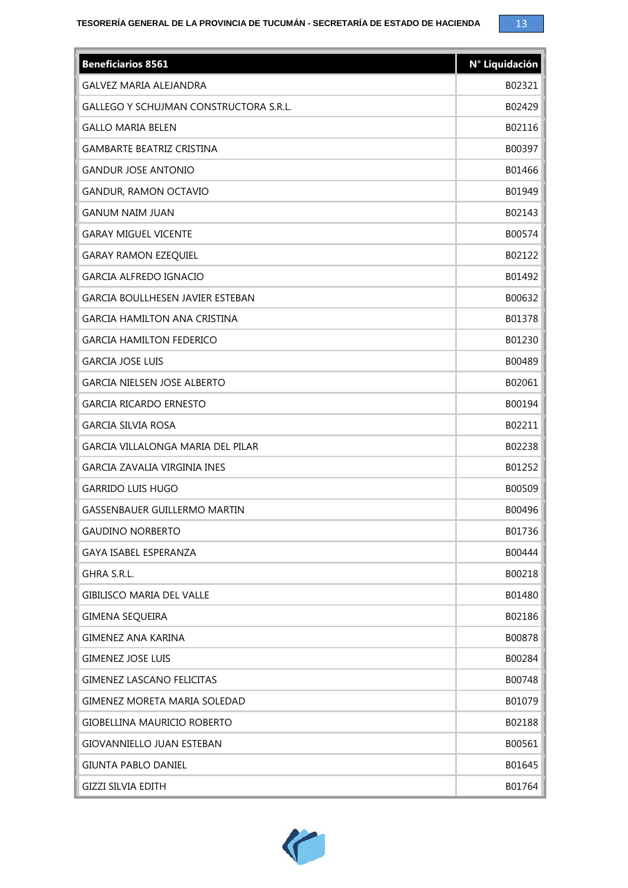| <b>Beneficiarios 8561</b>                     | N° Liquidación |
|-----------------------------------------------|----------------|
| <b>GALVEZ MARIA ALEJANDRA</b>                 | B02321         |
| <b>GALLEGO Y SCHUJMAN CONSTRUCTORA S.R.L.</b> | B02429         |
| <b>GALLO MARIA BELEN</b>                      | B02116         |
| <b>GAMBARTE BEATRIZ CRISTINA</b>              | B00397         |
| <b>GANDUR JOSE ANTONIO</b>                    | B01466         |
| <b>GANDUR, RAMON OCTAVIO</b>                  | B01949         |
| <b>GANUM NAIM JUAN</b>                        | B02143         |
| <b>GARAY MIGUEL VICENTE</b>                   | B00574         |
| <b>GARAY RAMON EZEQUIEL</b>                   | B02122         |
| <b>GARCIA ALFREDO IGNACIO</b>                 | B01492         |
| <b>GARCIA BOULLHESEN JAVIER ESTEBAN</b>       | B00632         |
| <b>GARCIA HAMILTON ANA CRISTINA</b>           | B01378         |
| <b>GARCIA HAMILTON FEDERICO</b>               | B01230         |
| <b>GARCIA JOSE LUIS</b>                       | B00489         |
| <b>GARCIA NIELSEN JOSE ALBERTO</b>            | B02061         |
| <b>GARCIA RICARDO ERNESTO</b>                 | B00194         |
| <b>GARCIA SILVIA ROSA</b>                     | B02211         |
| GARCIA VILLALONGA MARIA DEL PILAR             | B02238         |
| <b>GARCIA ZAVALIA VIRGINIA INES</b>           | B01252         |
| <b>GARRIDO LUIS HUGO</b>                      | B00509         |
| <b>GASSENBAUER GUILLERMO MARTIN</b>           | B00496         |
| <b>GAUDINO NORBERTO</b>                       | B01736         |
| GAYA ISABEL ESPERANZA                         | B00444         |
| GHRA S.R.L.                                   | B00218         |
| <b>GIBILISCO MARIA DEL VALLE</b>              | B01480         |
| <b>GIMENA SEQUEIRA</b>                        | B02186         |
| <b>GIMENEZ ANA KARINA</b>                     | B00878         |
| <b>GIMENEZ JOSE LUIS</b>                      | B00284         |
| <b>GIMENEZ LASCANO FELICITAS</b>              | B00748         |
| GIMENEZ MORETA MARIA SOLEDAD                  | B01079         |
| <b>GIOBELLINA MAURICIO ROBERTO</b>            | B02188         |
| GIOVANNIELLO JUAN ESTEBAN                     | B00561         |
| <b>GIUNTA PABLO DANIEL</b>                    | B01645         |
| <b>GIZZI SILVIA EDITH</b>                     | B01764         |

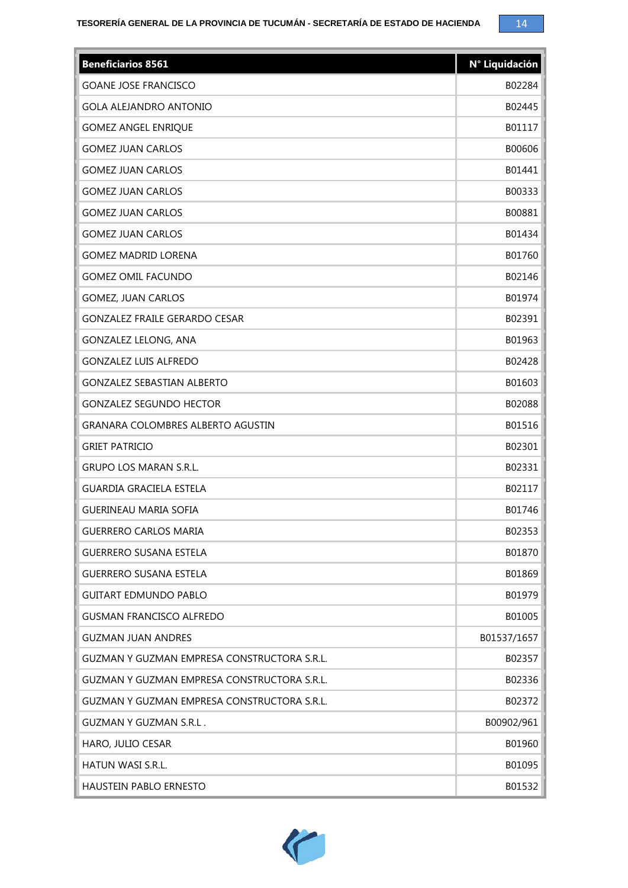| <b>Beneficiarios 8561</b>                          | N° Liquidación |
|----------------------------------------------------|----------------|
| <b>GOANE JOSE FRANCISCO</b>                        | B02284         |
| <b>GOLA ALEJANDRO ANTONIO</b>                      | B02445         |
| <b>GOMEZ ANGEL ENRIQUE</b>                         | B01117         |
| <b>GOMEZ JUAN CARLOS</b>                           | B00606         |
| <b>GOMEZ JUAN CARLOS</b>                           | B01441         |
| <b>GOMEZ JUAN CARLOS</b>                           | B00333         |
| <b>GOMEZ JUAN CARLOS</b>                           | B00881         |
| <b>GOMEZ JUAN CARLOS</b>                           | B01434         |
| <b>GOMEZ MADRID LORENA</b>                         | B01760         |
| <b>GOMEZ OMIL FACUNDO</b>                          | B02146         |
| <b>GOMEZ, JUAN CARLOS</b>                          | B01974         |
| <b>GONZALEZ FRAILE GERARDO CESAR</b>               | B02391         |
| <b>GONZALEZ LELONG, ANA</b>                        | B01963         |
| <b>GONZALEZ LUIS ALFREDO</b>                       | B02428         |
| <b>GONZALEZ SEBASTIAN ALBERTO</b>                  | B01603         |
| <b>GONZALEZ SEGUNDO HECTOR</b>                     | B02088         |
| <b>GRANARA COLOMBRES ALBERTO AGUSTIN</b>           | B01516         |
| <b>GRIET PATRICIO</b>                              | B02301         |
| <b>GRUPO LOS MARAN S.R.L.</b>                      | B02331         |
| <b>GUARDIA GRACIELA ESTELA</b>                     | B02117         |
| <b>GUERINEAU MARIA SOFIA</b>                       | B01746         |
| <b>GUERRERO CARLOS MARIA</b>                       | B02353         |
| <b>GUERRERO SUSANA ESTELA</b>                      | B01870         |
| <b>GUERRERO SUSANA ESTELA</b>                      | B01869         |
| <b>GUITART EDMUNDO PABLO</b>                       | B01979         |
| <b>GUSMAN FRANCISCO ALFREDO</b>                    | B01005         |
| <b>GUZMAN JUAN ANDRES</b>                          | B01537/1657    |
| <b>GUZMAN Y GUZMAN EMPRESA CONSTRUCTORA S.R.L.</b> | B02357         |
| GUZMAN Y GUZMAN EMPRESA CONSTRUCTORA S.R.L.        | B02336         |
| GUZMAN Y GUZMAN EMPRESA CONSTRUCTORA S.R.L.        | B02372         |
| <b>GUZMAN Y GUZMAN S.R.L.</b>                      | B00902/961     |
| HARO, JULIO CESAR                                  | B01960         |
| HATUN WASI S.R.L.                                  | B01095         |
| HAUSTEIN PABLO ERNESTO                             | B01532         |

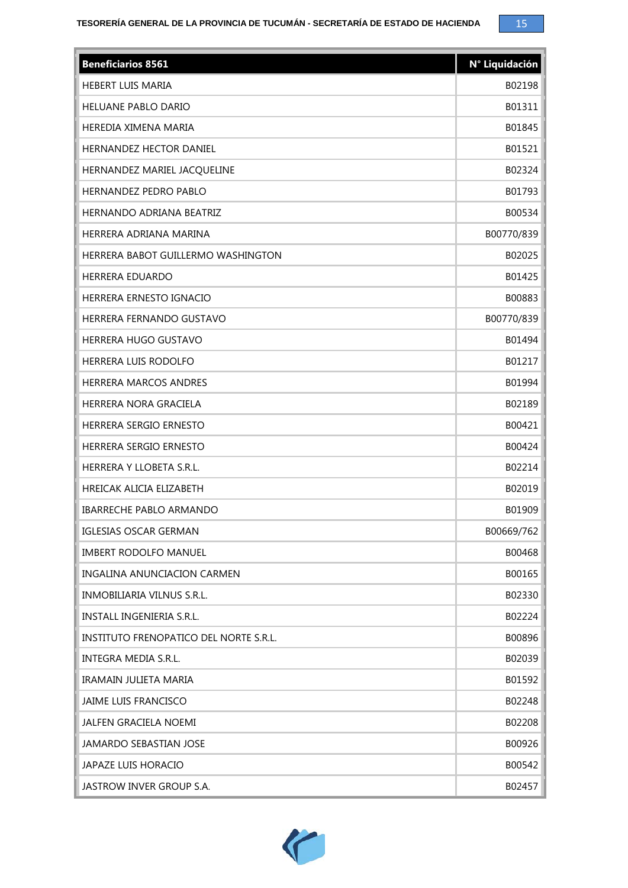| <b>Beneficiarios 8561</b>              | N° Liquidación |
|----------------------------------------|----------------|
| <b>HEBERT LUIS MARIA</b>               | B02198         |
| <b>HELUANE PABLO DARIO</b>             | B01311         |
| HEREDIA XIMENA MARIA                   | B01845         |
| HERNANDEZ HECTOR DANIEL                | B01521         |
| HERNANDEZ MARIEL JACQUELINE            | B02324         |
| HERNANDEZ PEDRO PABLO                  | B01793         |
| HERNANDO ADRIANA BEATRIZ               | B00534         |
| HERRERA ADRIANA MARINA                 | B00770/839     |
| HERRERA BABOT GUILLERMO WASHINGTON     | B02025         |
| <b>HERRERA EDUARDO</b>                 | B01425         |
| HERRERA ERNESTO IGNACIO                | B00883         |
| HERRERA FERNANDO GUSTAVO               | B00770/839     |
| HERRERA HUGO GUSTAVO                   | B01494         |
| HERRERA LUIS RODOLFO                   | B01217         |
| <b>HERRERA MARCOS ANDRES</b>           | B01994         |
| HERRERA NORA GRACIELA                  | B02189         |
| HERRERA SERGIO ERNESTO                 | B00421         |
| HERRERA SERGIO ERNESTO                 | B00424         |
| HERRERA Y LLOBETA S.R.L.               | B02214         |
| HREICAK ALICIA ELIZABETH               | B02019         |
| <b>IBARRECHE PABLO ARMANDO</b>         | B01909         |
| <b>IGLESIAS OSCAR GERMAN</b>           | B00669/762     |
| <b>IMBERT RODOLFO MANUEL</b>           | B00468         |
| INGALINA ANUNCIACION CARMEN            | B00165         |
| INMOBILIARIA VILNUS S.R.L.             | B02330         |
| <b>INSTALL INGENIERIA S.R.L.</b>       | B02224         |
| INSTITUTO FRENOPATICO DEL NORTE S.R.L. | B00896         |
| INTEGRA MEDIA S.R.L.                   | B02039         |
| IRAMAIN JULIETA MARIA                  | B01592         |
| <b>JAIME LUIS FRANCISCO</b>            | B02248         |
| <b>JALFEN GRACIELA NOEMI</b>           | B02208         |
| <b>JAMARDO SEBASTIAN JOSE</b>          | B00926         |
| <b>JAPAZE LUIS HORACIO</b>             | B00542         |
| JASTROW INVER GROUP S.A.               | B02457         |

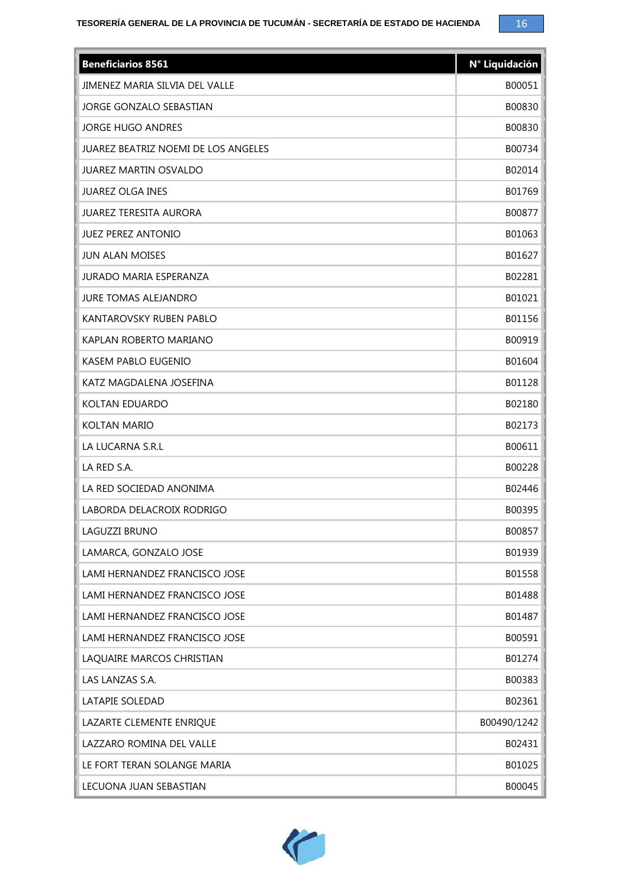| <b>Beneficiarios 8561</b>           | N° Liquidación |
|-------------------------------------|----------------|
| JIMENEZ MARIA SILVIA DEL VALLE      | B00051         |
| JORGE GONZALO SEBASTIAN             | B00830         |
| <b>JORGE HUGO ANDRES</b>            | B00830         |
| JUAREZ BEATRIZ NOEMI DE LOS ANGELES | B00734         |
| <b>JUAREZ MARTIN OSVALDO</b>        | B02014         |
| <b>JUAREZ OLGA INES</b>             | B01769         |
| <b>JUAREZ TERESITA AURORA</b>       | B00877         |
| <b>JUEZ PEREZ ANTONIO</b>           | B01063         |
| <b>JUN ALAN MOISES</b>              | B01627         |
| <b>JURADO MARIA ESPERANZA</b>       | B02281         |
| <b>JURE TOMAS ALEJANDRO</b>         | B01021         |
| KANTAROVSKY RUBEN PABLO             | B01156         |
| KAPLAN ROBERTO MARIANO              | B00919         |
| KASEM PABLO EUGENIO                 | B01604         |
| KATZ MAGDALENA JOSEFINA             | B01128         |
| <b>KOLTAN EDUARDO</b>               | B02180         |
| <b>KOLTAN MARIO</b>                 | B02173         |
| LA LUCARNA S.R.L                    | B00611         |
| LA RED S.A.                         | B00228         |
| LA RED SOCIEDAD ANONIMA             | B02446         |
| LABORDA DELACROIX RODRIGO           | B00395         |
| LAGUZZI BRUNO                       | B00857         |
| LAMARCA, GONZALO JOSE               | B01939         |
| LAMI HERNANDEZ FRANCISCO JOSE       | B01558         |
| LAMI HERNANDEZ FRANCISCO JOSE       | B01488         |
| LAMI HERNANDEZ FRANCISCO JOSE       | B01487         |
| LAMI HERNANDEZ FRANCISCO JOSE       | B00591         |
| LAQUAIRE MARCOS CHRISTIAN           | B01274         |
| LAS LANZAS S.A.                     | B00383         |
| LATAPIE SOLEDAD                     | B02361         |
| LAZARTE CLEMENTE ENRIQUE            | B00490/1242    |
| LAZZARO ROMINA DEL VALLE            | B02431         |
| LE FORT TERAN SOLANGE MARIA         | B01025         |
| LECUONA JUAN SEBASTIAN              | B00045         |

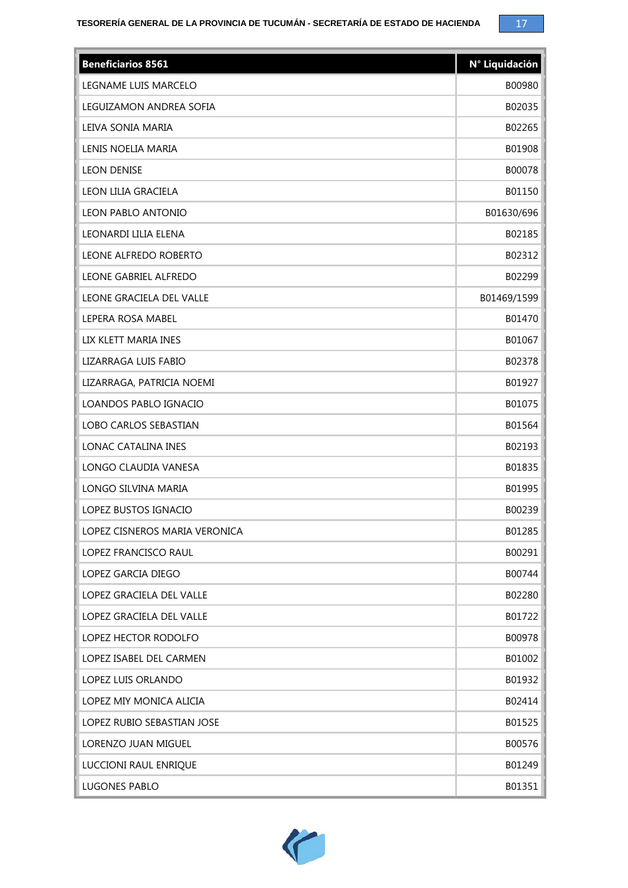

| <b>Beneficiarios 8561</b>     | N° Liquidación |
|-------------------------------|----------------|
| LEGNAME LUIS MARCELO          | B00980         |
| LEGUIZAMON ANDREA SOFIA       | B02035         |
| LEIVA SONIA MARIA             | B02265         |
| LENIS NOELIA MARIA            | B01908         |
| <b>LEON DENISE</b>            | B00078         |
| LEON LILIA GRACIELA           | B01150         |
| LEON PABLO ANTONIO            | B01630/696     |
| LEONARDI LILIA ELENA          | B02185         |
| LEONE ALFREDO ROBERTO         | B02312         |
| LEONE GABRIEL ALFREDO         | B02299         |
| LEONE GRACIELA DEL VALLE      | B01469/1599    |
| LEPERA ROSA MABEL             | B01470         |
| LIX KLETT MARIA INES          | B01067         |
| LIZARRAGA LUIS FABIO          | B02378         |
| LIZARRAGA, PATRICIA NOEMI     | B01927         |
| LOANDOS PABLO IGNACIO         | B01075         |
| LOBO CARLOS SEBASTIAN         | B01564         |
| LONAC CATALINA INES           | B02193         |
| LONGO CLAUDIA VANESA          | B01835         |
| LONGO SILVINA MARIA           | B01995         |
| LOPEZ BUSTOS IGNACIO          | B00239         |
| LOPEZ CISNEROS MARIA VERONICA | B01285         |
| LOPEZ FRANCISCO RAUL          | B00291         |
| LOPEZ GARCIA DIEGO            | B00744         |
| LOPEZ GRACIELA DEL VALLE      | B02280         |
| LOPEZ GRACIELA DEL VALLE      | B01722         |
| LOPEZ HECTOR RODOLFO          | B00978         |
| LOPEZ ISABEL DEL CARMEN       | B01002         |
| LOPEZ LUIS ORLANDO            | B01932         |
| LOPEZ MIY MONICA ALICIA       | B02414         |
| LOPEZ RUBIO SEBASTIAN JOSE    | B01525         |
| LORENZO JUAN MIGUEL           | B00576         |
| LUCCIONI RAUL ENRIQUE         | B01249         |
| <b>LUGONES PABLO</b>          | B01351         |

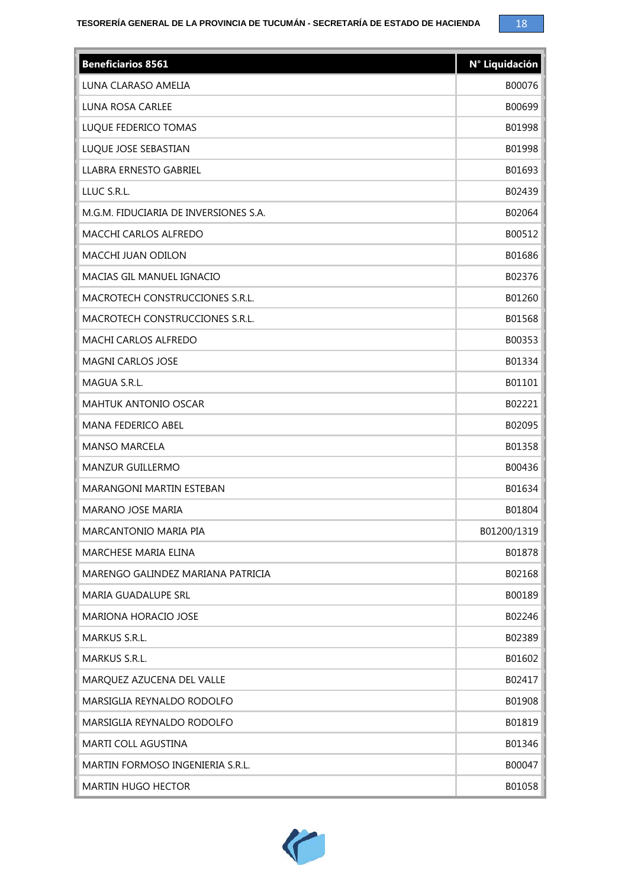| <b>Beneficiarios 8561</b>             | N° Liquidación |
|---------------------------------------|----------------|
| LUNA CLARASO AMELIA                   | B00076         |
| LUNA ROSA CARLEE                      | B00699         |
| LUQUE FEDERICO TOMAS                  | B01998         |
| LUQUE JOSE SEBASTIAN                  | B01998         |
| <b>LLABRA ERNESTO GABRIEL</b>         | B01693         |
| LLUC S.R.L.                           | B02439         |
| M.G.M. FIDUCIARIA DE INVERSIONES S.A. | B02064         |
| MACCHI CARLOS ALFREDO                 | B00512         |
| MACCHI JUAN ODILON                    | B01686         |
| MACIAS GIL MANUEL IGNACIO             | B02376         |
| MACROTECH CONSTRUCCIONES S.R.L.       | B01260         |
| MACROTECH CONSTRUCCIONES S.R.L.       | B01568         |
| MACHI CARLOS ALFREDO                  | B00353         |
| <b>MAGNI CARLOS JOSE</b>              | B01334         |
| MAGUA S.R.L.                          | B01101         |
| <b>MAHTUK ANTONIO OSCAR</b>           | B02221         |
| MANA FEDERICO ABEL                    | B02095         |
| <b>MANSO MARCELA</b>                  | B01358         |
| <b>MANZUR GUILLERMO</b>               | B00436         |
| <b>MARANGONI MARTIN ESTEBAN</b>       | B01634         |
| <b>MARANO JOSE MARIA</b>              | B01804         |
| MARCANTONIO MARIA PIA                 | B01200/1319    |
| MARCHESE MARIA ELINA                  | B01878         |
| MARENGO GALINDEZ MARIANA PATRICIA     | B02168         |
| <b>MARIA GUADALUPE SRL</b>            | B00189         |
| MARIONA HORACIO JOSE                  | B02246         |
| <b>MARKUS S.R.L.</b>                  | B02389         |
| <b>MARKUS S.R.L.</b>                  | B01602         |
| MARQUEZ AZUCENA DEL VALLE             | B02417         |
| MARSIGLIA REYNALDO RODOLFO            | B01908         |
| MARSIGLIA REYNALDO RODOLFO            | B01819         |
| MARTI COLL AGUSTINA                   | B01346         |
| MARTIN FORMOSO INGENIERIA S.R.L.      | B00047         |
| <b>MARTIN HUGO HECTOR</b>             | B01058         |

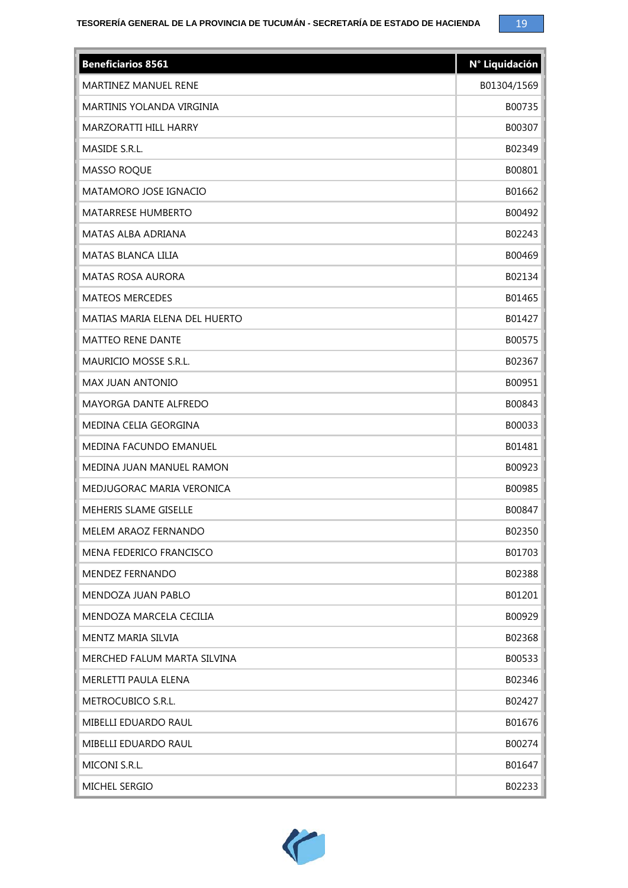| <b>Beneficiarios 8561</b>     | N° Liquidación |
|-------------------------------|----------------|
| MARTINEZ MANUEL RENE          | B01304/1569    |
| MARTINIS YOLANDA VIRGINIA     | B00735         |
| MARZORATTI HILL HARRY         | B00307         |
| MASIDE S.R.L.                 | B02349         |
| <b>MASSO ROQUE</b>            | B00801         |
| MATAMORO JOSE IGNACIO         | B01662         |
| <b>MATARRESE HUMBERTO</b>     | B00492         |
| MATAS ALBA ADRIANA            | B02243         |
| <b>MATAS BLANCA LILIA</b>     | B00469         |
| <b>MATAS ROSA AURORA</b>      | B02134         |
| <b>MATEOS MERCEDES</b>        | B01465         |
| MATIAS MARIA ELENA DEL HUERTO | B01427         |
| <b>MATTEO RENE DANTE</b>      | B00575         |
| MAURICIO MOSSE S.R.L.         | B02367         |
| MAX JUAN ANTONIO              | B00951         |
| MAYORGA DANTE ALFREDO         | B00843         |
| MEDINA CELIA GEORGINA         | B00033         |
| MEDINA FACUNDO EMANUEL        | B01481         |
| MEDINA JUAN MANUEL RAMON      | B00923         |
| MEDJUGORAC MARIA VERONICA     | B00985         |
| MEHERIS SLAME GISELLE         | B00847         |
| MELEM ARAOZ FERNANDO          | B02350         |
| MENA FEDERICO FRANCISCO       | B01703         |
| <b>MENDEZ FERNANDO</b>        | B02388         |
| <b>MENDOZA JUAN PABLO</b>     | B01201         |
| MENDOZA MARCELA CECILIA       | B00929         |
| MENTZ MARIA SILVIA            | B02368         |
| MERCHED FALUM MARTA SILVINA   | B00533         |
| MERLETTI PAULA ELENA          | B02346         |
| METROCUBICO S.R.L.            | B02427         |
| <b>MIBELLI EDUARDO RAUL</b>   | B01676         |
| MIBELLI EDUARDO RAUL          | B00274         |
| MICONI S.R.L.                 | B01647         |
| MICHEL SERGIO                 | B02233         |

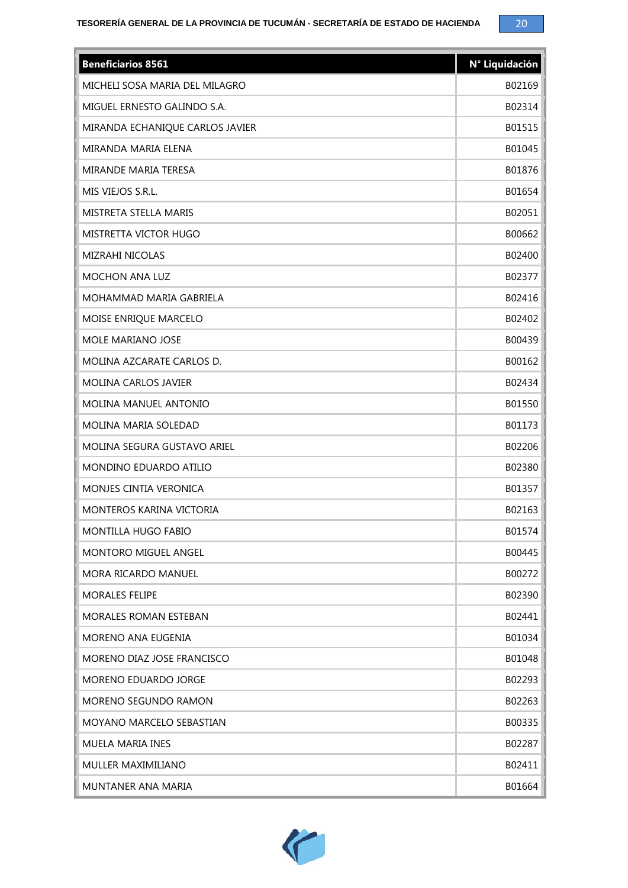| <b>Beneficiarios 8561</b>       | N° Liquidación |
|---------------------------------|----------------|
| MICHELI SOSA MARIA DEL MILAGRO  | B02169         |
| MIGUEL ERNESTO GALINDO S.A.     | B02314         |
| MIRANDA ECHANIQUE CARLOS JAVIER | B01515         |
| MIRANDA MARIA ELENA             | B01045         |
| MIRANDE MARIA TERESA            | B01876         |
| MIS VIEJOS S.R.L.               | B01654         |
| MISTRETA STELLA MARIS           | B02051         |
| MISTRETTA VICTOR HUGO           | B00662         |
| <b>MIZRAHI NICOLAS</b>          | B02400         |
| MOCHON ANA LUZ                  | B02377         |
| MOHAMMAD MARIA GABRIELA         | B02416         |
| MOISE ENRIQUE MARCELO           | B02402         |
| MOLE MARIANO JOSE               | B00439         |
| MOLINA AZCARATE CARLOS D.       | B00162         |
| <b>MOLINA CARLOS JAVIER</b>     | B02434         |
| MOLINA MANUEL ANTONIO           | B01550         |
| MOLINA MARIA SOLEDAD            | B01173         |
| MOLINA SEGURA GUSTAVO ARIEL     | B02206         |
| MONDINO EDUARDO ATILIO          | B02380         |
| MONJES CINTIA VERONICA          | B01357         |
| <b>MONTEROS KARINA VICTORIA</b> | B02163         |
| MONTILLA HUGO FABIO             | B01574         |
| MONTORO MIGUEL ANGEL            | B00445         |
| <b>MORA RICARDO MANUEL</b>      | B00272         |
| <b>MORALES FELIPE</b>           | B02390         |
| MORALES ROMAN ESTEBAN           | B02441         |
| MORENO ANA EUGENIA              | B01034         |
| MORENO DIAZ JOSE FRANCISCO      | B01048         |
| MORENO EDUARDO JORGE            | B02293         |
| MORENO SEGUNDO RAMON            | B02263         |
| <b>MOYANO MARCELO SEBASTIAN</b> | B00335         |
| <b>MUELA MARIA INES</b>         | B02287         |
| MULLER MAXIMILIANO              | B02411         |
| MUNTANER ANA MARIA              | B01664         |

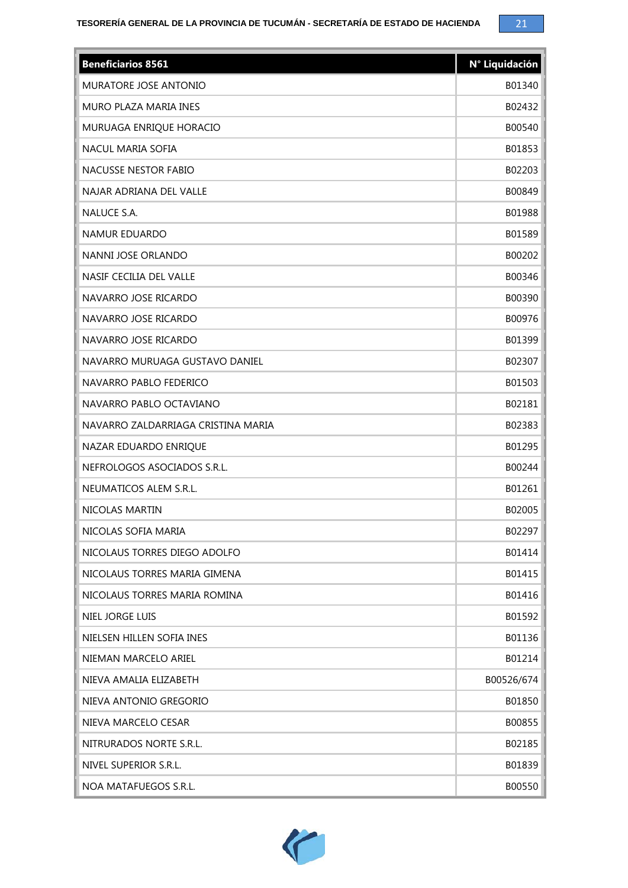

| <b>Beneficiarios 8561</b>          | N° Liquidación |
|------------------------------------|----------------|
| MURATORE JOSE ANTONIO              | B01340         |
| MURO PLAZA MARIA INES              | B02432         |
| MURUAGA ENRIQUE HORACIO            | B00540         |
| NACUL MARIA SOFIA                  | B01853         |
| <b>NACUSSE NESTOR FABIO</b>        | B02203         |
| NAJAR ADRIANA DEL VALLE            | B00849         |
| NALUCE S.A.                        | B01988         |
| <b>NAMUR EDUARDO</b>               | B01589         |
| NANNI JOSE ORLANDO                 | B00202         |
| NASIF CECILIA DEL VALLE            | B00346         |
| NAVARRO JOSE RICARDO               | B00390         |
| NAVARRO JOSE RICARDO               | B00976         |
| NAVARRO JOSE RICARDO               | B01399         |
| NAVARRO MURUAGA GUSTAVO DANIEL     | B02307         |
| NAVARRO PABLO FEDERICO             | B01503         |
| NAVARRO PABLO OCTAVIANO            | B02181         |
| NAVARRO ZALDARRIAGA CRISTINA MARIA | B02383         |
| NAZAR EDUARDO ENRIQUE              | B01295         |
| NEFROLOGOS ASOCIADOS S.R.L.        | B00244         |
| NEUMATICOS ALEM S.R.L.             | B01261         |
| NICOLAS MARTIN                     | B02005         |
| NICOLAS SOFIA MARIA                | B02297         |
| NICOLAUS TORRES DIEGO ADOLFO       | B01414         |
| NICOLAUS TORRES MARIA GIMENA       | B01415         |
| NICOLAUS TORRES MARIA ROMINA       | B01416         |
| NIEL JORGE LUIS                    | B01592         |
| NIELSEN HILLEN SOFIA INES          | B01136         |
| NIEMAN MARCELO ARIEL               | B01214         |
| NIEVA AMALIA ELIZABETH             | B00526/674     |
| NIEVA ANTONIO GREGORIO             | B01850         |
| NIEVA MARCELO CESAR                | B00855         |
| NITRURADOS NORTE S.R.L.            | B02185         |
| NIVEL SUPERIOR S.R.L.              | B01839         |
| NOA MATAFUEGOS S.R.L.              | B00550         |

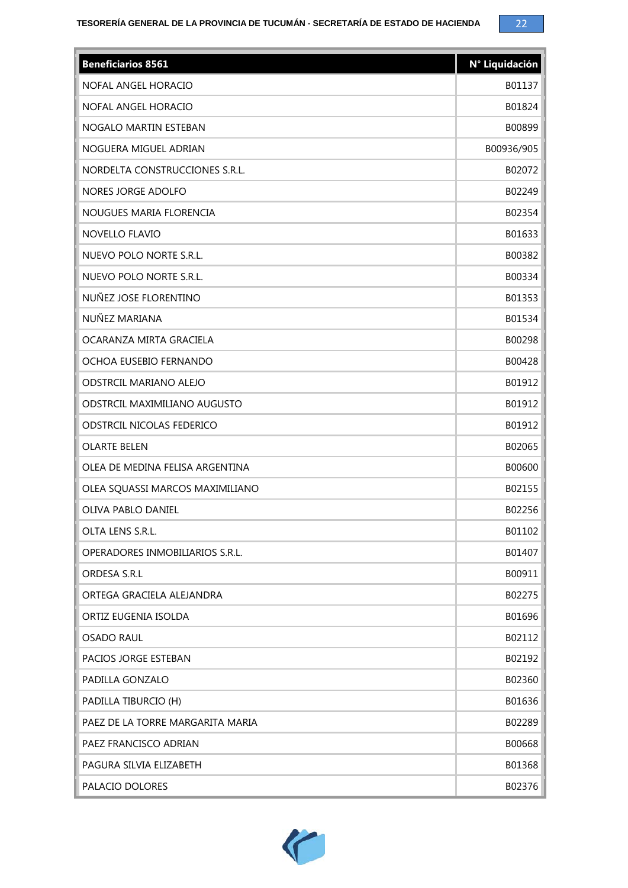| <b>Beneficiarios 8561</b>        | N° Liquidación |
|----------------------------------|----------------|
| NOFAL ANGEL HORACIO              | B01137         |
| NOFAL ANGEL HORACIO              | B01824         |
| NOGALO MARTIN ESTEBAN            | B00899         |
| NOGUERA MIGUEL ADRIAN            | B00936/905     |
| NORDELTA CONSTRUCCIONES S.R.L.   | B02072         |
| NORES JORGE ADOLFO               | B02249         |
| NOUGUES MARIA FLORENCIA          | B02354         |
| NOVELLO FLAVIO                   | B01633         |
| NUEVO POLO NORTE S.R.L.          | B00382         |
| NUEVO POLO NORTE S.R.L.          | B00334         |
| NUÑEZ JOSE FLORENTINO            | B01353         |
| NUÑEZ MARIANA                    | B01534         |
| OCARANZA MIRTA GRACIELA          | B00298         |
| OCHOA EUSEBIO FERNANDO           | B00428         |
| ODSTRCIL MARIANO ALEJO           | B01912         |
| ODSTRCIL MAXIMILIANO AUGUSTO     | B01912         |
| ODSTRCIL NICOLAS FEDERICO        | B01912         |
| <b>OLARTE BELEN</b>              | B02065         |
| OLEA DE MEDINA FELISA ARGENTINA  | B00600         |
| OLEA SQUASSI MARCOS MAXIMILIANO  | B02155         |
| OLIVA PABLO DANIEL               | B02256         |
| OLTA LENS S.R.L.                 | B01102         |
| OPERADORES INMOBILIARIOS S.R.L.  | B01407         |
| ORDESA S.R.L                     | B00911         |
| ORTEGA GRACIELA ALEJANDRA        | B02275         |
| ORTIZ EUGENIA ISOLDA             | B01696         |
| <b>OSADO RAUL</b>                | B02112         |
| PACIOS JORGE ESTEBAN             | B02192         |
| PADILLA GONZALO                  | B02360         |
| PADILLA TIBURCIO (H)             | B01636         |
| PAEZ DE LA TORRE MARGARITA MARIA | B02289         |
| PAEZ FRANCISCO ADRIAN            | B00668         |
| PAGURA SILVIA ELIZABETH          | B01368         |
| PALACIO DOLORES                  | B02376         |

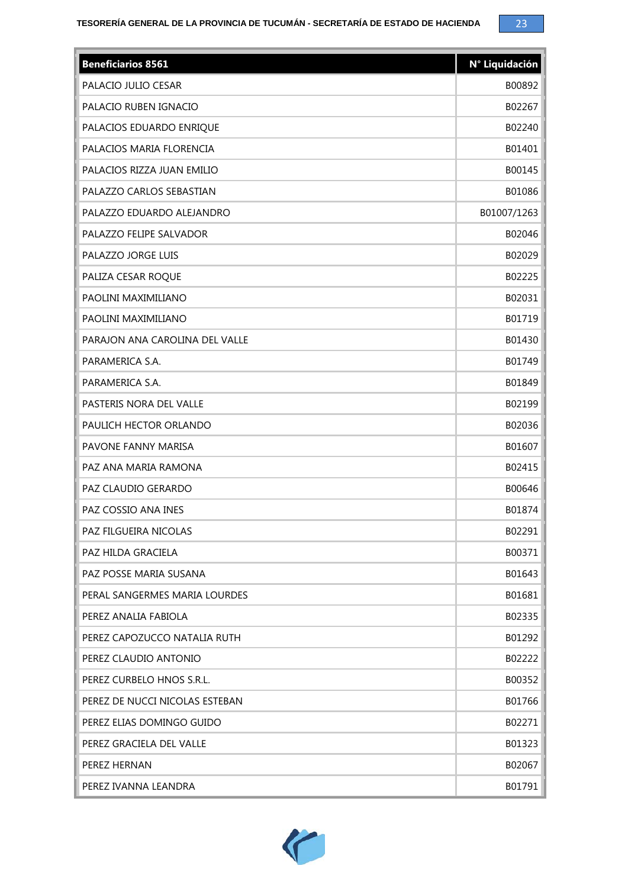

| <b>Beneficiarios 8561</b>      | N° Liquidación |
|--------------------------------|----------------|
| PALACIO JULIO CESAR            | B00892         |
| PALACIO RUBEN IGNACIO          | B02267         |
| PALACIOS EDUARDO ENRIQUE       | B02240         |
| PALACIOS MARIA FLORENCIA       | B01401         |
| PALACIOS RIZZA JUAN EMILIO     | B00145         |
| PALAZZO CARLOS SEBASTIAN       | B01086         |
| PALAZZO EDUARDO ALEJANDRO      | B01007/1263    |
| PALAZZO FELIPE SALVADOR        | B02046         |
| PALAZZO JORGE LUIS             | B02029         |
| PALIZA CESAR ROQUE             | B02225         |
| PAOLINI MAXIMILIANO            | B02031         |
| PAOLINI MAXIMILIANO            | B01719         |
| PARAJON ANA CAROLINA DEL VALLE | B01430         |
| PARAMERICA S.A.                | B01749         |
| PARAMERICA S.A.                | B01849         |
| PASTERIS NORA DEL VALLE        | B02199         |
| PAULICH HECTOR ORLANDO         | B02036         |
| PAVONE FANNY MARISA            | B01607         |
| PAZ ANA MARIA RAMONA           | B02415         |
| PAZ CLAUDIO GERARDO            | B00646         |
| PAZ COSSIO ANA INES            | B01874         |
| PAZ FILGUEIRA NICOLAS          | B02291         |
| PAZ HILDA GRACIELA             | B00371         |
| PAZ POSSE MARIA SUSANA         | B01643         |
| PERAL SANGERMES MARIA LOURDES  | B01681         |
| PEREZ ANALIA FABIOLA           | B02335         |
| PEREZ CAPOZUCCO NATALIA RUTH   | B01292         |
| PEREZ CLAUDIO ANTONIO          | B02222         |
| PEREZ CURBELO HNOS S.R.L.      | B00352         |
| PEREZ DE NUCCI NICOLAS ESTEBAN | B01766         |
| PEREZ ELIAS DOMINGO GUIDO      | B02271         |
| PEREZ GRACIELA DEL VALLE       | B01323         |
| PEREZ HERNAN                   | B02067         |
| PEREZ IVANNA LEANDRA           | B01791         |

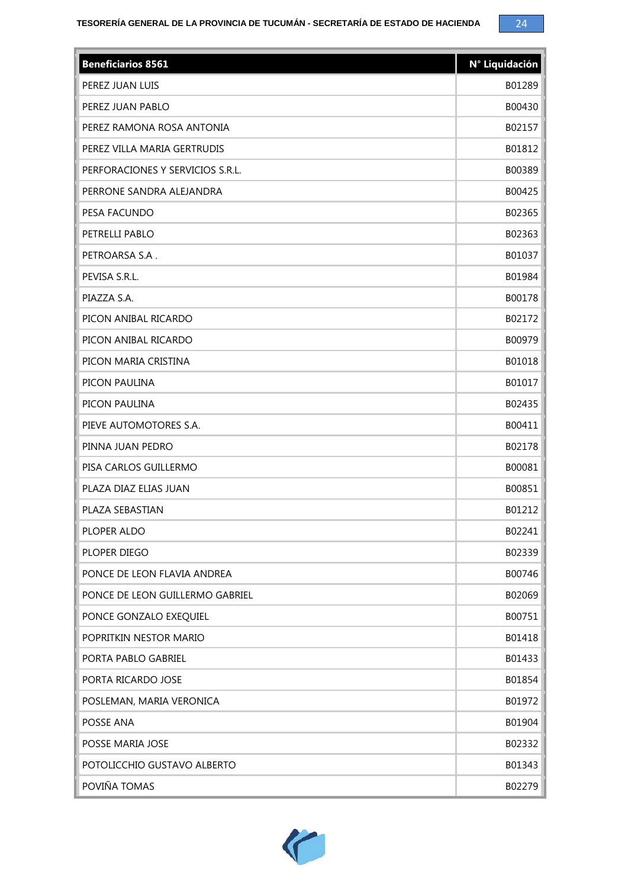| Beneficiarios 8561               | N <sup>o</sup> Liquidación |
|----------------------------------|----------------------------|
| PEREZ JUAN LUIS                  | B01289                     |
| PEREZ JUAN PABLO                 | B00430                     |
| PEREZ RAMONA ROSA ANTONIA        | B02157                     |
| PEREZ VILLA MARIA GERTRUDIS      | B01812                     |
| PERFORACIONES Y SERVICIOS S.R.L. | B00389                     |
| PERRONE SANDRA ALEJANDRA         | B00425                     |
| PESA FACUNDO                     | B02365                     |
| PETRELLI PABLO                   | B02363                     |
| PETROARSA S.A.                   | B01037                     |
| PEVISA S.R.L.                    | B01984                     |
| PIAZZA S.A.                      | B00178                     |
| PICON ANIBAL RICARDO             | B02172                     |
| PICON ANIBAL RICARDO             | B00979                     |
| PICON MARIA CRISTINA             | B01018                     |
| PICON PAULINA                    | B01017                     |
| PICON PAULINA                    | B02435                     |
| PIEVE AUTOMOTORES S.A.           | B00411                     |
| PINNA JUAN PEDRO                 | B02178                     |
| PISA CARLOS GUILLERMO            | B00081                     |
| PLAZA DIAZ ELIAS JUAN            | B00851                     |
| PLAZA SEBASTIAN                  | B01212                     |
| PLOPER ALDO                      | B02241                     |
| PLOPER DIEGO                     | B02339                     |
| PONCE DE LEON FLAVIA ANDREA      | B00746                     |
| PONCE DE LEON GUILLERMO GABRIEL  | B02069                     |
| PONCE GONZALO EXEQUIEL           | B00751                     |
| POPRITKIN NESTOR MARIO           | B01418                     |
| PORTA PABLO GABRIEL              | B01433                     |
| PORTA RICARDO JOSE               | B01854                     |
| POSLEMAN, MARIA VERONICA         | B01972                     |
| POSSE ANA                        | B01904                     |
| POSSE MARIA JOSE                 | B02332                     |
| POTOLICCHIO GUSTAVO ALBERTO      | B01343                     |
| POVIÑA TOMAS                     | B02279                     |

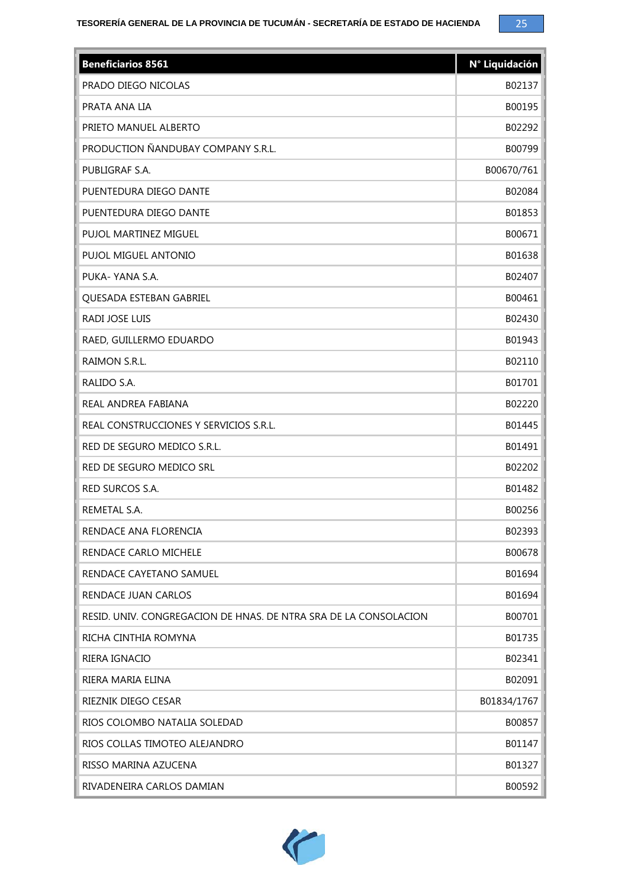| <b>Beneficiarios 8561</b>                                        | N° Liquidación |
|------------------------------------------------------------------|----------------|
| PRADO DIEGO NICOLAS                                              | B02137         |
| PRATA ANA LIA                                                    | B00195         |
| PRIETO MANUEL ALBERTO                                            | B02292         |
| PRODUCTION ÑANDUBAY COMPANY S.R.L.                               | B00799         |
| PUBLIGRAF S.A.                                                   | B00670/761     |
| PUENTEDURA DIEGO DANTE                                           | B02084         |
| PUENTEDURA DIEGO DANTE                                           | B01853         |
| PUJOL MARTINEZ MIGUEL                                            | B00671         |
| PUJOL MIGUEL ANTONIO                                             | B01638         |
| PUKA- YANA S.A.                                                  | B02407         |
| QUESADA ESTEBAN GABRIEL                                          | B00461         |
| <b>RADI JOSE LUIS</b>                                            | B02430         |
| RAED, GUILLERMO EDUARDO                                          | B01943         |
| RAIMON S.R.L.                                                    | B02110         |
| RALIDO S.A.                                                      | B01701         |
| REAL ANDREA FABIANA                                              | B02220         |
| REAL CONSTRUCCIONES Y SERVICIOS S.R.L.                           | B01445         |
| RED DE SEGURO MEDICO S.R.L.                                      | B01491         |
| RED DE SEGURO MEDICO SRL                                         | B02202         |
| RED SURCOS S.A.                                                  | B01482         |
| REMETAL S.A.                                                     | B00256         |
| RENDACE ANA FLORENCIA                                            | B02393         |
| RENDACE CARLO MICHELE                                            | B00678         |
| RENDACE CAYETANO SAMUEL                                          | B01694         |
| RENDACE JUAN CARLOS                                              | B01694         |
| RESID. UNIV. CONGREGACION DE HNAS. DE NTRA SRA DE LA CONSOLACION | B00701         |
| RICHA CINTHIA ROMYNA                                             | B01735         |
| RIERA IGNACIO                                                    | B02341         |
| RIERA MARIA ELINA                                                | B02091         |
| RIEZNIK DIEGO CESAR                                              | B01834/1767    |
| RIOS COLOMBO NATALIA SOLEDAD                                     | B00857         |
| RIOS COLLAS TIMOTEO ALEJANDRO                                    | B01147         |
| RISSO MARINA AZUCENA                                             | B01327         |
| RIVADENEIRA CARLOS DAMIAN                                        | B00592         |

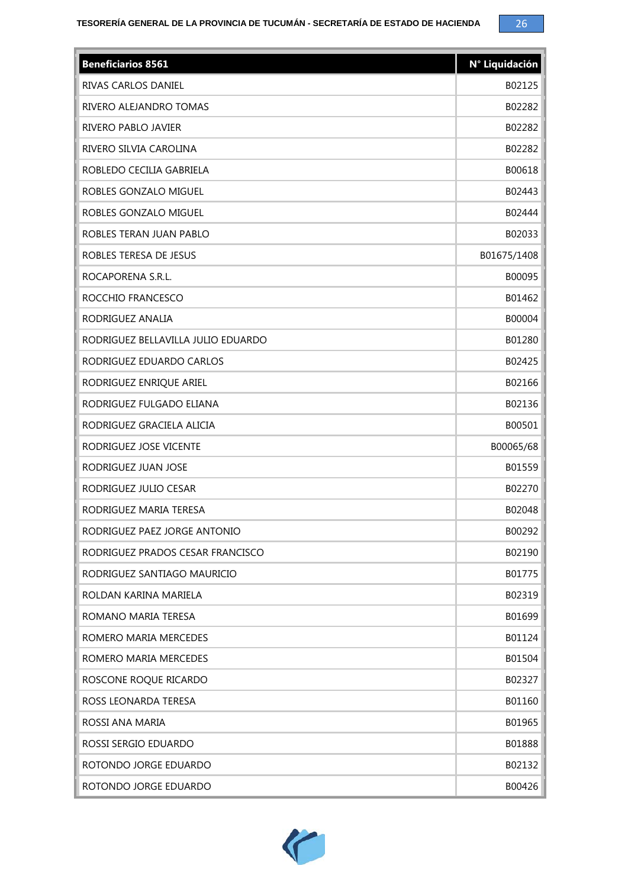| <b>Beneficiarios 8561</b>          | N <sup>o</sup> Liquidación |
|------------------------------------|----------------------------|
| RIVAS CARLOS DANIEL                | B02125                     |
| RIVERO ALEJANDRO TOMAS             | B02282                     |
| RIVERO PABLO JAVIER                | B02282                     |
| RIVERO SILVIA CAROLINA             | B02282                     |
| ROBLEDO CECILIA GABRIELA           | B00618                     |
| ROBLES GONZALO MIGUEL              | B02443                     |
| ROBLES GONZALO MIGUEL              | B02444                     |
| ROBLES TERAN JUAN PABLO            | B02033                     |
| ROBLES TERESA DE JESUS             | B01675/1408                |
| ROCAPORENA S.R.L.                  | B00095                     |
| ROCCHIO FRANCESCO                  | B01462                     |
| RODRIGUEZ ANALIA                   | B00004                     |
| RODRIGUEZ BELLAVILLA JULIO EDUARDO | B01280                     |
| RODRIGUEZ EDUARDO CARLOS           | B02425                     |
| RODRIGUEZ ENRIQUE ARIEL            | B02166                     |
| RODRIGUEZ FULGADO ELIANA           | B02136                     |
| RODRIGUEZ GRACIELA ALICIA          | B00501                     |
| RODRIGUEZ JOSE VICENTE             | B00065/68                  |
| RODRIGUEZ JUAN JOSE                | B01559                     |
| RODRIGUEZ JULIO CESAR              | B02270                     |
| RODRIGUEZ MARIA TERESA             | B02048                     |
| RODRIGUEZ PAEZ JORGE ANTONIO       | B00292                     |
| RODRIGUEZ PRADOS CESAR FRANCISCO   | B02190                     |
| RODRIGUEZ SANTIAGO MAURICIO        | B01775                     |
| ROLDAN KARINA MARIELA              | B02319                     |
| ROMANO MARIA TERESA                | B01699                     |
| ROMERO MARIA MERCEDES              | B01124                     |
| ROMERO MARIA MERCEDES              | B01504                     |
| ROSCONE ROQUE RICARDO              | B02327                     |
| ROSS LEONARDA TERESA               | B01160                     |
| ROSSI ANA MARIA                    | B01965                     |
| ROSSI SERGIO EDUARDO               | B01888                     |
| ROTONDO JORGE EDUARDO              | B02132                     |
| ROTONDO JORGE EDUARDO              | B00426                     |

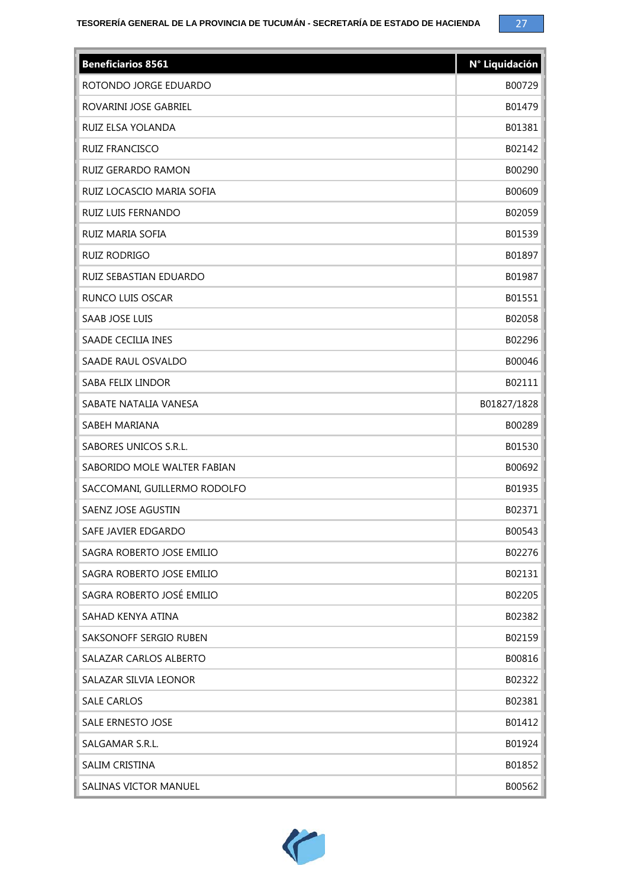

| <b>Beneficiarios 8561</b>    | N° Liquidación |
|------------------------------|----------------|
| ROTONDO JORGE EDUARDO        | B00729         |
| ROVARINI JOSE GABRIEL        | B01479         |
| RUIZ ELSA YOLANDA            | B01381         |
| <b>RUIZ FRANCISCO</b>        | B02142         |
| <b>RUIZ GERARDO RAMON</b>    | B00290         |
| RUIZ LOCASCIO MARIA SOFIA    | B00609         |
| RUIZ LUIS FERNANDO           | B02059         |
| RUIZ MARIA SOFIA             | B01539         |
| <b>RUIZ RODRIGO</b>          | B01897         |
| RUIZ SEBASTIAN EDUARDO       | B01987         |
| <b>RUNCO LUIS OSCAR</b>      | B01551         |
| SAAB JOSE LUIS               | B02058         |
| SAADE CECILIA INES           | B02296         |
| SAADE RAUL OSVALDO           | B00046         |
| SABA FELIX LINDOR            | B02111         |
| SABATE NATALIA VANESA        | B01827/1828    |
| SABEH MARIANA                | B00289         |
| SABORES UNICOS S.R.L.        | B01530         |
| SABORIDO MOLE WALTER FABIAN  | B00692         |
| SACCOMANI, GUILLERMO RODOLFO | B01935         |
| SAENZ JOSE AGUSTIN           | B02371         |
| SAFE JAVIER EDGARDO          | B00543         |
| SAGRA ROBERTO JOSE EMILIO    | B02276         |
| SAGRA ROBERTO JOSE EMILIO    | B02131         |
| SAGRA ROBERTO JOSÉ EMILIO    | B02205         |
| SAHAD KENYA ATINA            | B02382         |
| SAKSONOFF SERGIO RUBEN       | B02159         |
| SALAZAR CARLOS ALBERTO       | B00816         |
| SALAZAR SILVIA LEONOR        | B02322         |
| <b>SALE CARLOS</b>           | B02381         |
| SALE ERNESTO JOSE            | B01412         |
| SALGAMAR S.R.L.              | B01924         |
| <b>SALIM CRISTINA</b>        | B01852         |
| SALINAS VICTOR MANUEL        | B00562         |

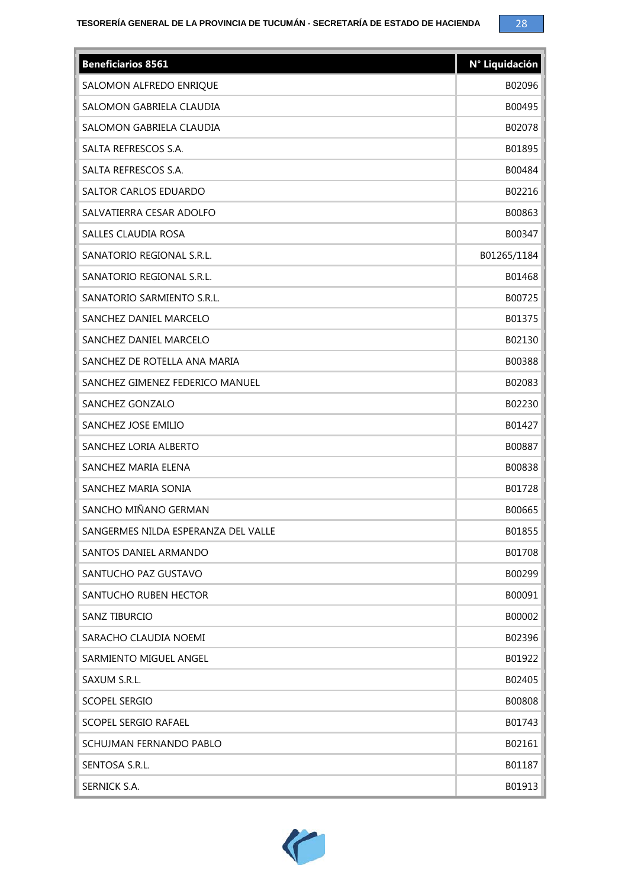| <b>Beneficiarios 8561</b>           | N° Liquidación |
|-------------------------------------|----------------|
| SALOMON ALFREDO ENRIQUE             | B02096         |
| SALOMON GABRIELA CLAUDIA            | B00495         |
| SALOMON GABRIELA CLAUDIA            | B02078         |
| SALTA REFRESCOS S.A.                | B01895         |
| SALTA REFRESCOS S.A.                | B00484         |
| SALTOR CARLOS EDUARDO               | B02216         |
| SALVATIERRA CESAR ADOLFO            | B00863         |
| SALLES CLAUDIA ROSA                 | B00347         |
| SANATORIO REGIONAL S.R.L.           | B01265/1184    |
| SANATORIO REGIONAL S.R.L.           | B01468         |
| SANATORIO SARMIENTO S.R.L.          | B00725         |
| SANCHEZ DANIEL MARCELO              | B01375         |
| SANCHEZ DANIEL MARCELO              | B02130         |
| SANCHEZ DE ROTELLA ANA MARIA        | B00388         |
| SANCHEZ GIMENEZ FEDERICO MANUEL     | B02083         |
| SANCHEZ GONZALO                     | B02230         |
| SANCHEZ JOSE EMILIO                 | B01427         |
| SANCHEZ LORIA ALBERTO               | B00887         |
| SANCHEZ MARIA ELENA                 | B00838         |
| SANCHEZ MARIA SONIA                 | B01728         |
| SANCHO MIÑANO GERMAN                | B00665         |
| SANGERMES NILDA ESPERANZA DEL VALLE | B01855         |
| SANTOS DANIEL ARMANDO               | B01708         |
| SANTUCHO PAZ GUSTAVO                | B00299         |
| SANTUCHO RUBEN HECTOR               | B00091         |
| <b>SANZ TIBURCIO</b>                | B00002         |
| SARACHO CLAUDIA NOEMI               | B02396         |
| SARMIENTO MIGUEL ANGEL              | B01922         |
| SAXUM S.R.L.                        | B02405         |
| <b>SCOPEL SERGIO</b>                | B00808         |
| SCOPEL SERGIO RAFAEL                | B01743         |
| SCHUJMAN FERNANDO PABLO             | B02161         |
| SENTOSA S.R.L.                      | B01187         |
| SERNICK S.A.                        | B01913         |

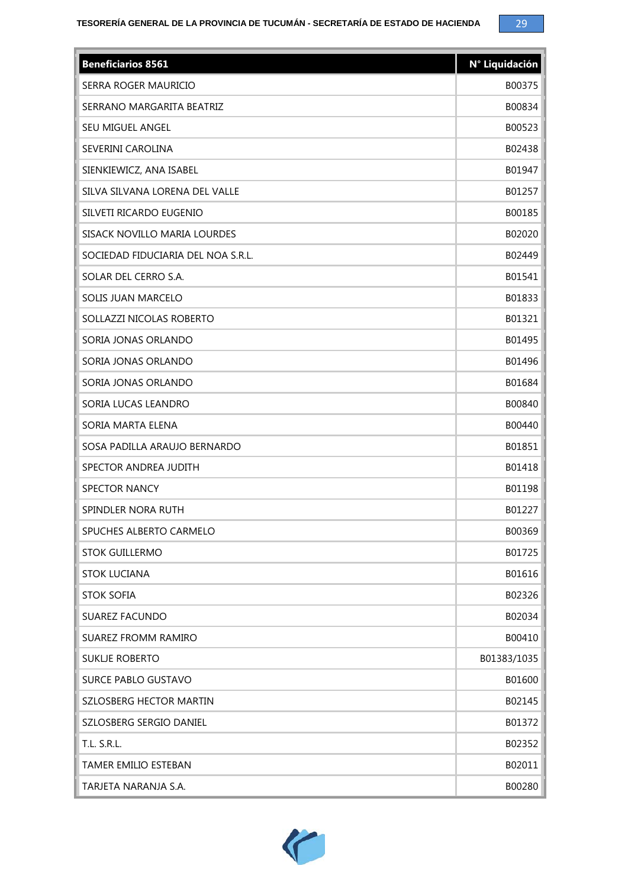| <b>Beneficiarios 8561</b>          | N° Liquidación |
|------------------------------------|----------------|
| SERRA ROGER MAURICIO               | B00375         |
| SERRANO MARGARITA BEATRIZ          | B00834         |
| SEU MIGUEL ANGEL                   | B00523         |
| SEVERINI CAROLINA                  | B02438         |
| SIENKIEWICZ, ANA ISABEL            | B01947         |
| SILVA SILVANA LORENA DEL VALLE     | B01257         |
| SILVETI RICARDO EUGENIO            | B00185         |
| SISACK NOVILLO MARIA LOURDES       | B02020         |
| SOCIEDAD FIDUCIARIA DEL NOA S.R.L. | B02449         |
| SOLAR DEL CERRO S.A.               | B01541         |
| SOLIS JUAN MARCELO                 | B01833         |
| SOLLAZZI NICOLAS ROBERTO           | B01321         |
| SORIA JONAS ORLANDO                | B01495         |
| SORIA JONAS ORLANDO                | B01496         |
| SORIA JONAS ORLANDO                | B01684         |
| SORIA LUCAS LEANDRO                | B00840         |
| SORIA MARTA ELENA                  | B00440         |
| SOSA PADILLA ARAUJO BERNARDO       | B01851         |
| SPECTOR ANDREA JUDITH              | B01418         |
| <b>SPECTOR NANCY</b>               | B01198         |
| SPINDLER NORA RUTH                 | B01227         |
| SPUCHES ALBERTO CARMELO            | B00369         |
| <b>STOK GUILLERMO</b>              | B01725         |
| <b>STOK LUCIANA</b>                | B01616         |
| <b>STOK SOFIA</b>                  | B02326         |
| <b>SUAREZ FACUNDO</b>              | B02034         |
| <b>SUAREZ FROMM RAMIRO</b>         | B00410         |
| <b>SUKLJE ROBERTO</b>              | B01383/1035    |
| SURCE PABLO GUSTAVO                | B01600         |
| SZLOSBERG HECTOR MARTIN            | B02145         |
| SZLOSBERG SERGIO DANIEL            | B01372         |
| T.L. S.R.L.                        | B02352         |
| TAMER EMILIO ESTEBAN               | B02011         |
| TARJETA NARANJA S.A.               | B00280         |

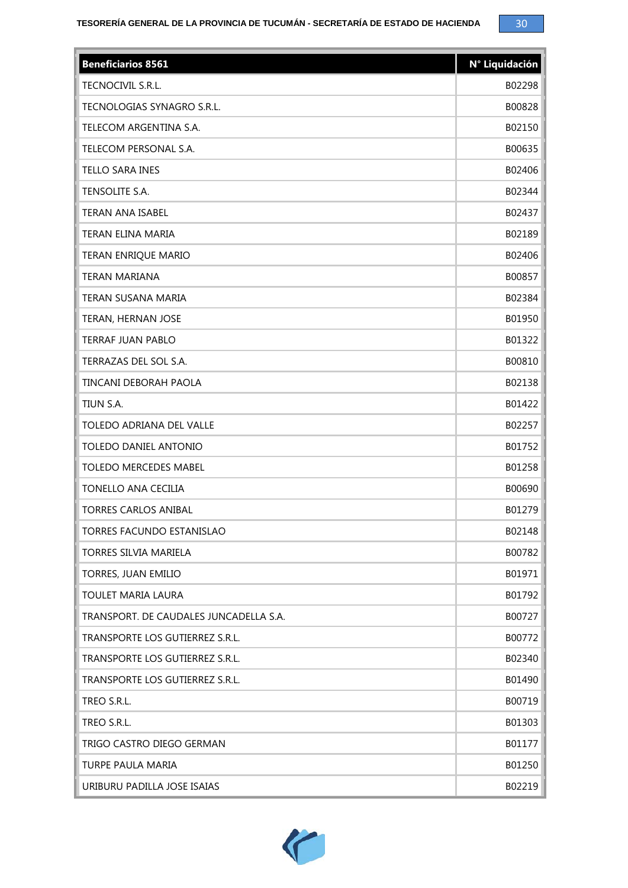| <b>Beneficiarios 8561</b>              | N° Liquidación |
|----------------------------------------|----------------|
| TECNOCIVIL S.R.L.                      | B02298         |
| TECNOLOGIAS SYNAGRO S.R.L.             | B00828         |
| TELECOM ARGENTINA S.A.                 | B02150         |
| TELECOM PERSONAL S.A.                  | B00635         |
| <b>TELLO SARA INES</b>                 | B02406         |
| TENSOLITE S.A.                         | B02344         |
| <b>TERAN ANA ISABEL</b>                | B02437         |
| TERAN ELINA MARIA                      | B02189         |
| TERAN ENRIQUE MARIO                    | B02406         |
| <b>TERAN MARIANA</b>                   | B00857         |
| TERAN SUSANA MARIA                     | B02384         |
| TERAN, HERNAN JOSE                     | B01950         |
| <b>TERRAF JUAN PABLO</b>               | B01322         |
| TERRAZAS DEL SOL S.A.                  | B00810         |
| TINCANI DEBORAH PAOLA                  | B02138         |
| TIUN S.A.                              | B01422         |
| TOLEDO ADRIANA DEL VALLE               | B02257         |
| TOLEDO DANIEL ANTONIO                  | B01752         |
| <b>TOLEDO MERCEDES MABEL</b>           | B01258         |
| TONELLO ANA CECILIA                    | B00690         |
| <b>TORRES CARLOS ANIBAL</b>            | B01279         |
| TORRES FACUNDO ESTANISLAO              | B02148         |
| TORRES SILVIA MARIELA                  | B00782         |
| TORRES, JUAN EMILIO                    | B01971         |
| <b>TOULET MARIA LAURA</b>              | B01792         |
| TRANSPORT. DE CAUDALES JUNCADELLA S.A. | B00727         |
| TRANSPORTE LOS GUTIERREZ S.R.L.        | B00772         |
| TRANSPORTE LOS GUTIERREZ S.R.L.        | B02340         |
| TRANSPORTE LOS GUTIERREZ S.R.L.        | B01490         |
| TREO S.R.L.                            | B00719         |
| TREO S.R.L.                            | B01303         |
| TRIGO CASTRO DIEGO GERMAN              | B01177         |
| <b>TURPE PAULA MARIA</b>               | B01250         |
| URIBURU PADILLA JOSE ISAIAS            | B02219         |

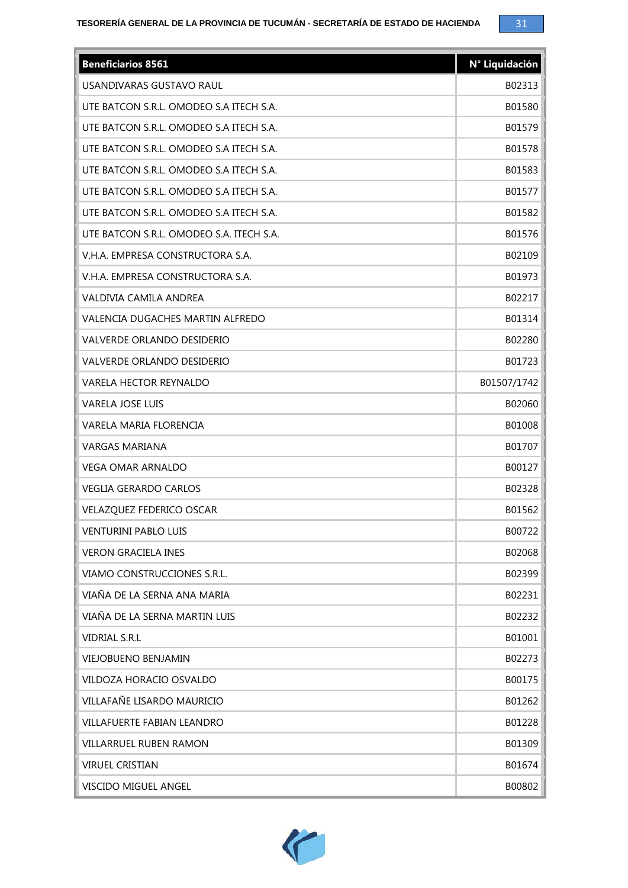| <b>Beneficiarios 8561</b>                | N <sup>o</sup> Liquidación |
|------------------------------------------|----------------------------|
| USANDIVARAS GUSTAVO RAUL                 | B02313                     |
| UTE BATCON S.R.I. OMODEO S.A ITECH S.A.  | B01580                     |
| UTE BATCON S.R.L. OMODEO S.A ITECH S.A.  | B01579                     |
| UTE BATCON S.R.L. OMODEO S.A ITECH S.A.  | B01578                     |
| UTE BATCON S.R.L. OMODEO S.A ITECH S.A.  | B01583                     |
| UTE BATCON S.R.L. OMODEO S.A ITECH S.A.  | B01577                     |
| UTE BATCON S.R.L. OMODEO S.A ITECH S.A.  | B01582                     |
| UTE BATCON S.R.L. OMODEO S.A. ITECH S.A. | B01576                     |
| V.H.A. EMPRESA CONSTRUCTORA S.A.         | B02109                     |
| V.H.A. EMPRESA CONSTRUCTORA S.A.         | B01973                     |
| VALDIVIA CAMILA ANDREA                   | B02217                     |
| VALENCIA DUGACHES MARTIN ALFREDO         | B01314                     |
| VALVERDE ORLANDO DESIDERIO               | B02280                     |
| VALVERDE ORLANDO DESIDERIO               | B01723                     |
| VARELA HECTOR REYNALDO                   | B01507/1742                |
| <b>VARELA JOSE LUIS</b>                  | B02060                     |
| VARELA MARIA FLORENCIA                   | B01008                     |
| <b>VARGAS MARIANA</b>                    | B01707                     |
| <b>VEGA OMAR ARNALDO</b>                 | B00127                     |
| <b>VEGLIA GERARDO CARLOS</b>             | B02328                     |
| VELAZQUEZ FEDERICO OSCAR                 | B01562                     |
| <b>VENTURINI PABLO LUIS</b>              | B00722                     |
| <b>VERON GRACIELA INES</b>               | B02068                     |
| VIAMO CONSTRUCCIONES S.R.L.              | B02399                     |
| VIAÑA DE LA SERNA ANA MARIA              | B02231                     |
| VIAÑA DE LA SERNA MARTIN LUIS            | B02232                     |
| VIDRIAL S.R.L                            | B01001                     |
| <b>VIEJOBUENO BENJAMIN</b>               | B02273                     |
| VILDOZA HORACIO OSVALDO                  | B00175                     |
| VILLAFAÑE LISARDO MAURICIO               | B01262                     |
| <b>VILLAFUERTE FABIAN LEANDRO</b>        | B01228                     |
| <b>VILLARRUEL RUBEN RAMON</b>            | B01309                     |
| <b>VIRUEL CRISTIAN</b>                   | B01674                     |
| VISCIDO MIGUEL ANGEL                     | B00802                     |